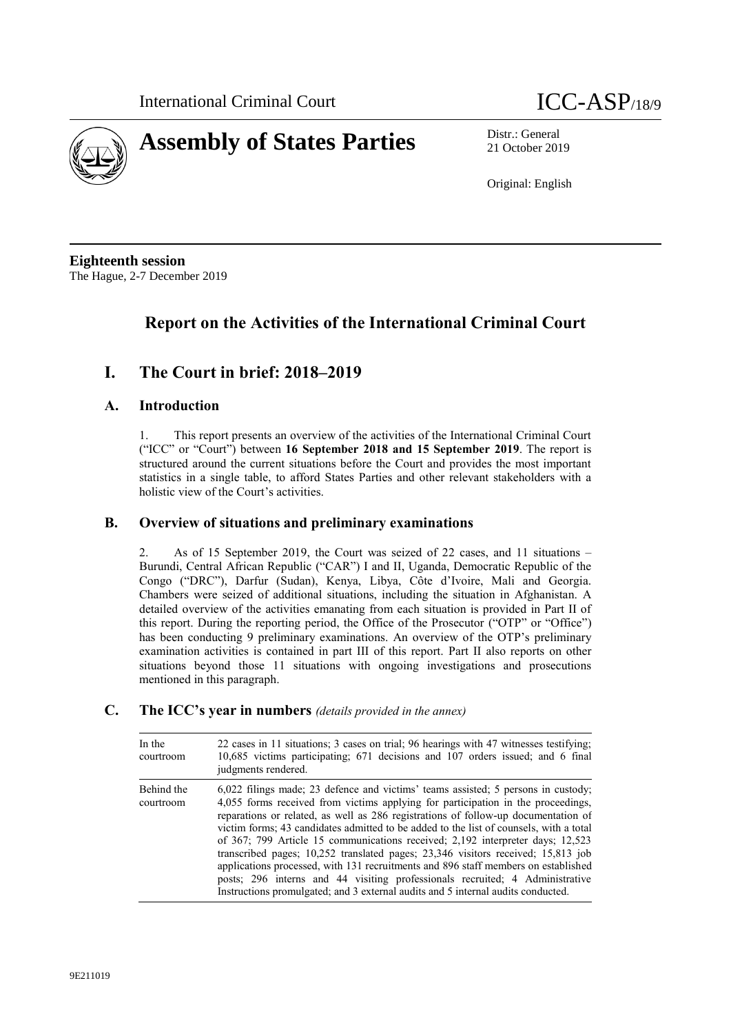



21 October 2019

Original: English

**Eighteenth session** The Hague, 2-7 December 2019

# **Report on the Activities of the International Criminal Court**

# **I. The Court in brief: 2018–2019**

# **A. Introduction**

1. This report presents an overview of the activities of the International Criminal Court ("ICC" or "Court") between **16 September 2018 and 15 September 2019**. The report is structured around the current situations before the Court and provides the most important statistics in a single table, to afford States Parties and other relevant stakeholders with a holistic view of the Court's activities.

# **B. Overview of situations and preliminary examinations**

2. As of 15 September 2019, the Court was seized of 22 cases, and 11 situations – Burundi, Central African Republic ("CAR") I and II, Uganda, Democratic Republic of the Congo ("DRC"), Darfur (Sudan), Kenya, Libya, Côte d'Ivoire, Mali and Georgia. Chambers were seized of additional situations, including the situation in Afghanistan. A detailed overview of the activities emanating from each situation is provided in Part II of this report. During the reporting period, the Office of the Prosecutor ("OTP" or "Office") has been conducting 9 preliminary examinations. An overview of the OTP's preliminary examination activities is contained in part III of this report. Part II also reports on other situations beyond those 11 situations with ongoing investigations and prosecutions mentioned in this paragraph.

# **C. The ICC's year in numbers** *(details provided in the annex)*

| In the<br>courtroom     | 22 cases in 11 situations; 3 cases on trial; 96 hearings with 47 witnesses testifying;<br>10,685 victims participating; 671 decisions and 107 orders issued; and 6 final<br>judgments rendered.                                                                                                                                                                                                                                                                                                                                                                                                                                                                                                                                                                                         |
|-------------------------|-----------------------------------------------------------------------------------------------------------------------------------------------------------------------------------------------------------------------------------------------------------------------------------------------------------------------------------------------------------------------------------------------------------------------------------------------------------------------------------------------------------------------------------------------------------------------------------------------------------------------------------------------------------------------------------------------------------------------------------------------------------------------------------------|
| Behind the<br>courtroom | $6,022$ filings made; 23 defence and victims' teams assisted; 5 persons in custody;<br>4,055 forms received from victims applying for participation in the proceedings,<br>reparations or related, as well as 286 registrations of follow-up documentation of<br>victim forms; 43 candidates admitted to be added to the list of counsels, with a total<br>of 367; 799 Article 15 communications received; 2,192 interpreter days; 12,523<br>transcribed pages; 10,252 translated pages; 23,346 visitors received; 15,813 job<br>applications processed, with 131 recruitments and 896 staff members on established<br>posts; 296 interns and 44 visiting professionals recruited; 4 Administrative<br>Instructions promulgated; and 3 external audits and 5 internal audits conducted. |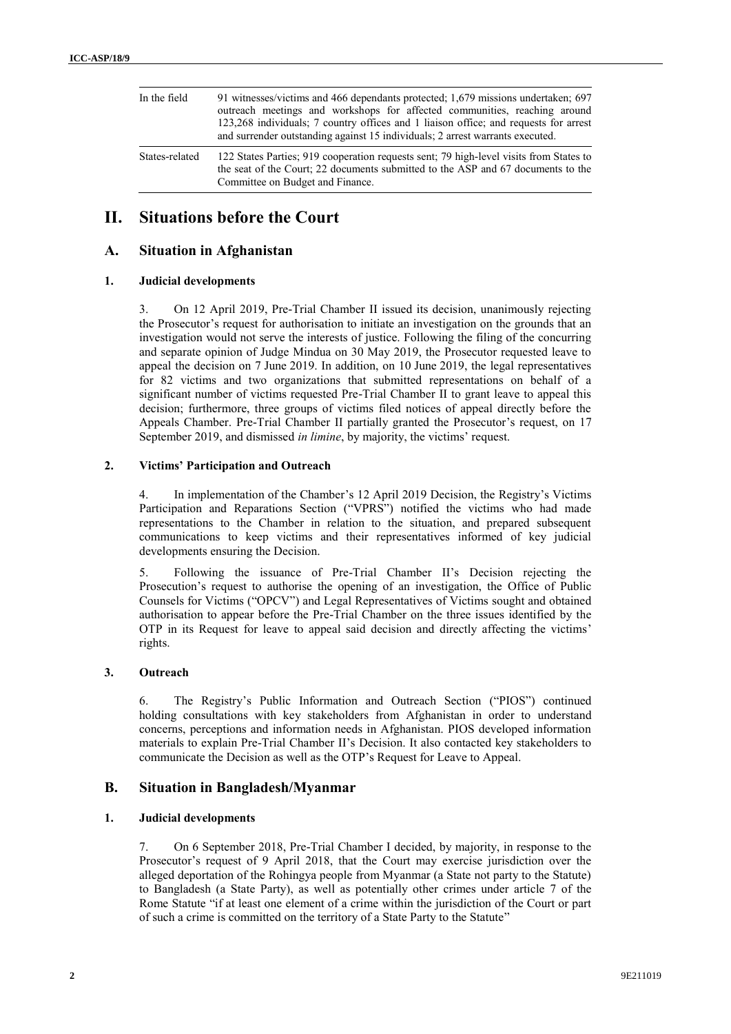| In the field   | 91 witnesses/victims and 466 dependants protected; 1,679 missions undertaken; 697<br>outreach meetings and workshops for affected communities, reaching around<br>123,268 individuals; 7 country offices and 1 liaison office; and requests for arrest<br>and surrender outstanding against 15 individuals; 2 arrest warrants executed. |  |
|----------------|-----------------------------------------------------------------------------------------------------------------------------------------------------------------------------------------------------------------------------------------------------------------------------------------------------------------------------------------|--|
| States-related | 122 States Parties; 919 cooperation requests sent; 79 high-level visits from States to<br>the seat of the Court; 22 documents submitted to the ASP and 67 documents to the<br>Committee on Budget and Finance.                                                                                                                          |  |

# **II. Situations before the Court**

# **A. Situation in Afghanistan**

# **1. Judicial developments**

3. On 12 April 2019, Pre-Trial Chamber II issued its decision, unanimously rejecting the Prosecutor's request for authorisation to initiate an investigation on the grounds that an investigation would not serve the interests of justice. Following the filing of the concurring and separate opinion of Judge Mindua on 30 May 2019, the Prosecutor requested leave to appeal the decision on 7 June 2019. In addition, on 10 June 2019, the legal representatives for 82 victims and two organizations that submitted representations on behalf of a significant number of victims requested Pre-Trial Chamber II to grant leave to appeal this decision; furthermore, three groups of victims filed notices of appeal directly before the Appeals Chamber. Pre-Trial Chamber II partially granted the Prosecutor's request, on 17 September 2019, and dismissed *in limine*, by majority, the victims' request.

# **2. Victims' Participation and Outreach**

4. In implementation of the Chamber's 12 April 2019 Decision, the Registry's Victims Participation and Reparations Section ("VPRS") notified the victims who had made representations to the Chamber in relation to the situation, and prepared subsequent communications to keep victims and their representatives informed of key judicial developments ensuring the Decision.

5. Following the issuance of Pre-Trial Chamber II's Decision rejecting the Prosecution's request to authorise the opening of an investigation, the Office of Public Counsels for Victims ("OPCV") and Legal Representatives of Victims sought and obtained authorisation to appear before the Pre-Trial Chamber on the three issues identified by the OTP in its Request for leave to appeal said decision and directly affecting the victims' rights.

### **3. Outreach**

6. The Registry's Public Information and Outreach Section ("PIOS") continued holding consultations with key stakeholders from Afghanistan in order to understand concerns, perceptions and information needs in Afghanistan. PIOS developed information materials to explain Pre-Trial Chamber II's Decision. It also contacted key stakeholders to communicate the Decision as well as the OTP's Request for Leave to Appeal.

# **B. Situation in Bangladesh/Myanmar**

# **1. Judicial developments**

7. On 6 September 2018, Pre-Trial Chamber I decided, by majority, in response to the Prosecutor's request of 9 April 2018, that the Court may exercise jurisdiction over the alleged deportation of the Rohingya people from Myanmar (a State not party to the Statute) to Bangladesh (a State Party), as well as potentially other crimes under article 7 of the Rome Statute "if at least one element of a crime within the jurisdiction of the Court or part of such a crime is committed on the territory of a State Party to the Statute"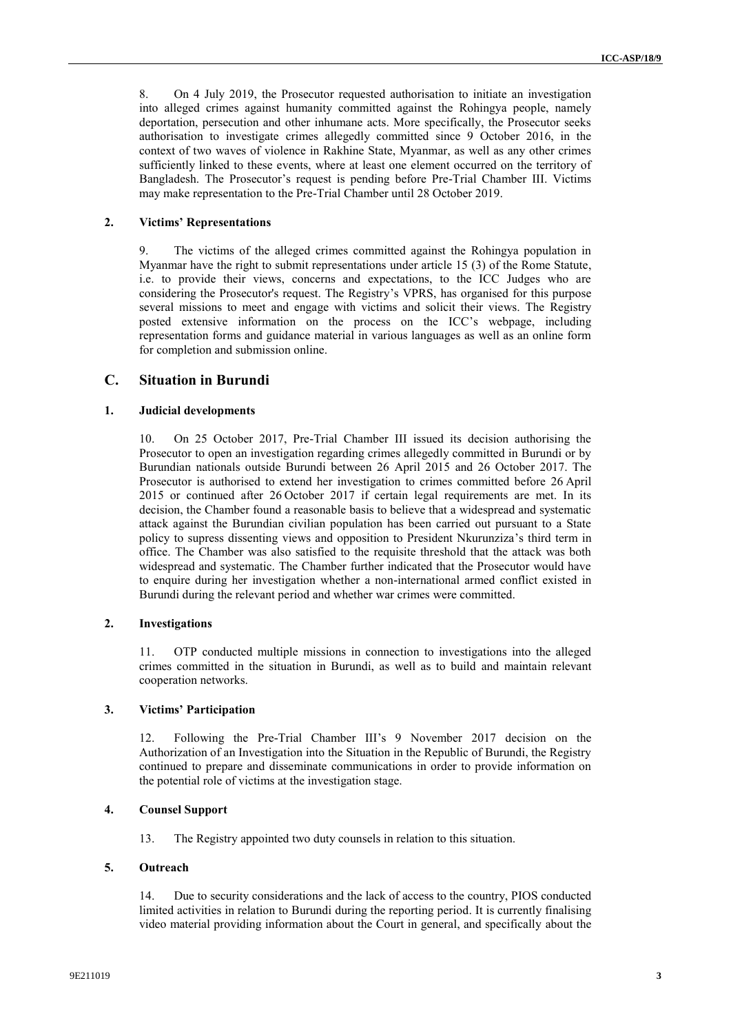8. On 4 July 2019, the Prosecutor requested authorisation to initiate an investigation into alleged crimes against humanity committed against the Rohingya people, namely deportation, persecution and other inhumane acts. More specifically, the Prosecutor seeks authorisation to investigate crimes allegedly committed since 9 October 2016, in the context of two waves of violence in Rakhine State, Myanmar, as well as any other crimes sufficiently linked to these events, where at least one element occurred on the territory of Bangladesh. The Prosecutor's request is pending before Pre-Trial Chamber III. Victims may make representation to the Pre-Trial Chamber until 28 October 2019.

## **2. Victims' Representations**

9. The victims of the alleged crimes committed against the Rohingya population in Myanmar have the right to submit representations under article 15 (3) of the Rome Statute, i.e. to provide their views, concerns and expectations, to the ICC Judges who are considering the Prosecutor's request. The Registry's VPRS, has organised for this purpose several missions to meet and engage with victims and solicit their views. The Registry posted extensive information on the process on the ICC's webpage, including representation forms and guidance material in various languages as well as an online form for completion and submission online.

# **C. Situation in Burundi**

# **1. Judicial developments**

10. On 25 October 2017, Pre-Trial Chamber III issued its decision authorising the Prosecutor to open an investigation regarding crimes allegedly committed in Burundi or by Burundian nationals outside Burundi between 26 April 2015 and 26 October 2017. The Prosecutor is authorised to extend her investigation to crimes committed before 26 April 2015 or continued after 26 October 2017 if certain legal requirements are met. In its decision, the Chamber found a reasonable basis to believe that a widespread and systematic attack against the Burundian civilian population has been carried out pursuant to a State policy to supress dissenting views and opposition to President Nkurunziza's third term in office. The Chamber was also satisfied to the requisite threshold that the attack was both widespread and systematic. The Chamber further indicated that the Prosecutor would have to enquire during her investigation whether a non-international armed conflict existed in Burundi during the relevant period and whether war crimes were committed.

# **2. Investigations**

11. OTP conducted multiple missions in connection to investigations into the alleged crimes committed in the situation in Burundi, as well as to build and maintain relevant cooperation networks.

### **3. Victims' Participation**

12. Following the Pre-Trial Chamber III's 9 November 2017 decision on the Authorization of an Investigation into the Situation in the Republic of Burundi, the Registry continued to prepare and disseminate communications in order to provide information on the potential role of victims at the investigation stage.

### **4. Counsel Support**

13. The Registry appointed two duty counsels in relation to this situation.

## **5. Outreach**

14. Due to security considerations and the lack of access to the country, PIOS conducted limited activities in relation to Burundi during the reporting period. It is currently finalising video material providing information about the Court in general, and specifically about the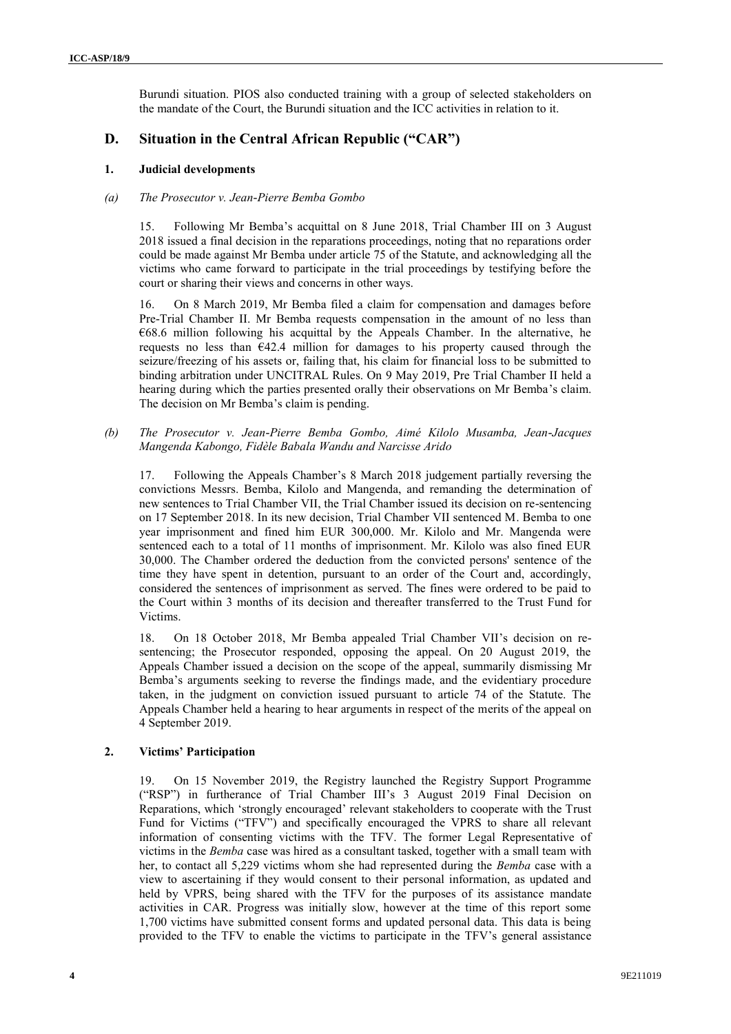Burundi situation. PIOS also conducted training with a group of selected stakeholders on the mandate of the Court, the Burundi situation and the ICC activities in relation to it.

# **D. Situation in the Central African Republic ("CAR")**

# **1. Judicial developments**

## *(a) The Prosecutor v. Jean-Pierre Bemba Gombo*

15. Following Mr Bemba's acquittal on 8 June 2018, Trial Chamber III on 3 August 2018 issued a final decision in the reparations proceedings, noting that no reparations order could be made against Mr Bemba under article 75 of the Statute, and acknowledging all the victims who came forward to participate in the trial proceedings by testifying before the court or sharing their views and concerns in other ways.

16. On 8 March 2019, Mr Bemba filed a claim for compensation and damages before Pre-Trial Chamber II. Mr Bemba requests compensation in the amount of no less than €68.6 million following his acquittal by the Appeals Chamber. In the alternative, he requests no less than  $E42.4$  million for damages to his property caused through the seizure/freezing of his assets or, failing that, his claim for financial loss to be submitted to binding arbitration under UNCITRAL Rules. On 9 May 2019, Pre Trial Chamber II held a hearing during which the parties presented orally their observations on Mr Bemba's claim. The decision on Mr Bemba's claim is pending.

*(b) The Prosecutor v. Jean-Pierre Bemba Gombo, Aimé Kilolo Musamba, Jean-Jacques Mangenda Kabongo, Fidèle Babala Wandu and Narcisse Arido* 

17. Following the Appeals Chamber's 8 March 2018 judgement partially reversing the convictions Messrs. Bemba, Kilolo and Mangenda, and remanding the determination of new sentences to Trial Chamber VII, the Trial Chamber issued its decision on re-sentencing on 17 September 2018. In its new decision, Trial Chamber VII sentenced M. Bemba to one year imprisonment and fined him EUR 300,000. Mr. Kilolo and Mr. Mangenda were sentenced each to a total of 11 months of imprisonment. Mr. Kilolo was also fined EUR 30,000. The Chamber ordered the deduction from the convicted persons' sentence of the time they have spent in detention, pursuant to an order of the Court and, accordingly, considered the sentences of imprisonment as served. The fines were ordered to be paid to the Court within 3 months of its decision and thereafter transferred to the Trust Fund for Victims.

18. On 18 October 2018, Mr Bemba appealed Trial Chamber VII's decision on resentencing; the Prosecutor responded, opposing the appeal. On 20 August 2019, the Appeals Chamber issued a decision on the scope of the appeal, summarily dismissing Mr Bemba's arguments seeking to reverse the findings made, and the evidentiary procedure taken, in the judgment on conviction issued pursuant to article 74 of the Statute. The Appeals Chamber held a hearing to hear arguments in respect of the merits of the appeal on 4 September 2019.

# **2. Victims' Participation**

19. On 15 November 2019, the Registry launched the Registry Support Programme ("RSP") in furtherance of Trial Chamber III's 3 August 2019 Final Decision on Reparations, which 'strongly encouraged' relevant stakeholders to cooperate with the Trust Fund for Victims ("TFV") and specifically encouraged the VPRS to share all relevant information of consenting victims with the TFV. The former Legal Representative of victims in the *Bemba* case was hired as a consultant tasked, together with a small team with her, to contact all 5,229 victims whom she had represented during the *Bemba* case with a view to ascertaining if they would consent to their personal information, as updated and held by VPRS, being shared with the TFV for the purposes of its assistance mandate activities in CAR. Progress was initially slow, however at the time of this report some 1,700 victims have submitted consent forms and updated personal data. This data is being provided to the TFV to enable the victims to participate in the TFV's general assistance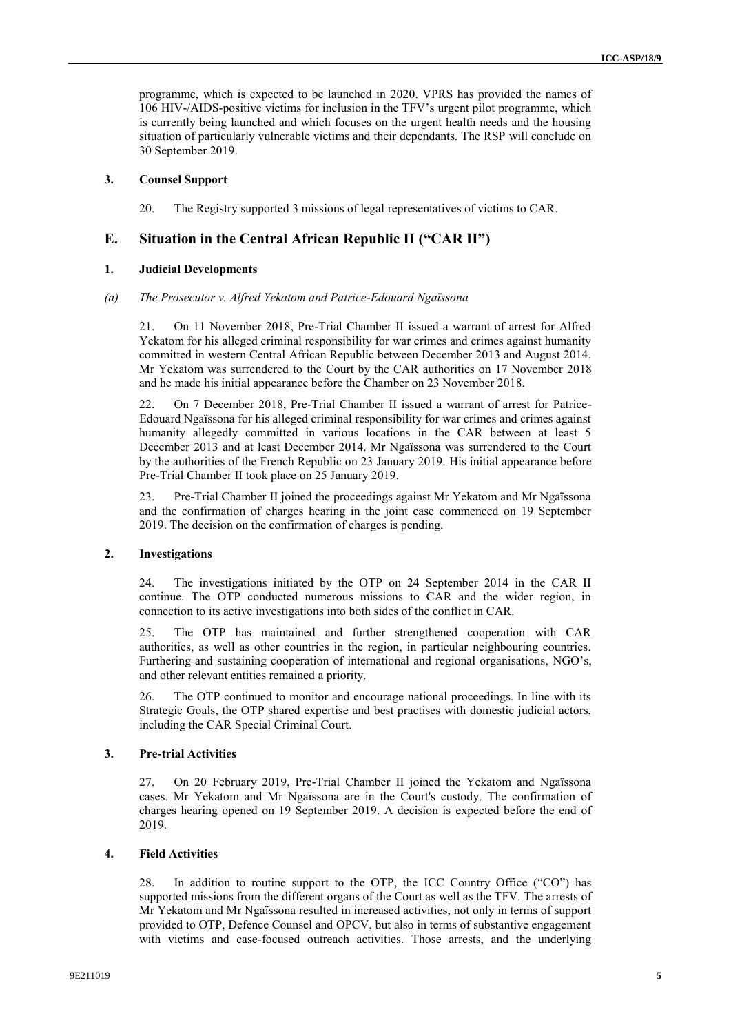programme, which is expected to be launched in 2020. VPRS has provided the names of 106 HIV-/AIDS-positive victims for inclusion in the TFV's urgent pilot programme, which is currently being launched and which focuses on the urgent health needs and the housing situation of particularly vulnerable victims and their dependants. The RSP will conclude on 30 September 2019.

# **3. Counsel Support**

20. The Registry supported 3 missions of legal representatives of victims to CAR.

# **E. Situation in the Central African Republic II ("CAR II")**

### **1. Judicial Developments**

### *(a) The Prosecutor v. Alfred Yekatom and Patrice-Edouard Ngaïssona*

21. On 11 November 2018, Pre-Trial Chamber II issued a warrant of arrest for Alfred Yekatom for his alleged criminal responsibility for war crimes and crimes against humanity committed in western Central African Republic between December 2013 and August 2014. Mr Yekatom was surrendered to the Court by the CAR authorities on 17 November 2018 and he made his initial appearance before the Chamber on 23 November 2018.

22. On 7 December 2018, Pre-Trial Chamber II issued a warrant of arrest for Patrice-Edouard Ngaïssona for his alleged criminal responsibility for war crimes and crimes against humanity allegedly committed in various locations in the CAR between at least 5 December 2013 and at least December 2014. Mr Ngaïssona was surrendered to the Court by the authorities of the French Republic on 23 January 2019. His initial appearance before Pre-Trial Chamber II took place on 25 January 2019.

23. Pre-Trial Chamber II joined the proceedings against Mr Yekatom and Mr Ngaïssona and the confirmation of charges hearing in the joint case commenced on 19 September 2019. The decision on the confirmation of charges is pending.

### **2. Investigations**

24. The investigations initiated by the OTP on 24 September 2014 in the CAR II continue. The OTP conducted numerous missions to CAR and the wider region, in connection to its active investigations into both sides of the conflict in CAR.

25. The OTP has maintained and further strengthened cooperation with CAR authorities, as well as other countries in the region, in particular neighbouring countries. Furthering and sustaining cooperation of international and regional organisations, NGO's, and other relevant entities remained a priority.

26. The OTP continued to monitor and encourage national proceedings. In line with its Strategic Goals, the OTP shared expertise and best practises with domestic judicial actors, including the CAR Special Criminal Court.

### **3. Pre-trial Activities**

27. On 20 February 2019, Pre-Trial Chamber II joined the Yekatom and Ngaïssona cases. Mr Yekatom and Mr Ngaïssona are in the Court's custody. The confirmation of charges hearing opened on 19 September 2019. A decision is expected before the end of 2019.

### **4. Field Activities**

28. In addition to routine support to the OTP, the ICC Country Office ("CO") has supported missions from the different organs of the Court as well as the TFV. The arrests of Mr Yekatom and Mr Ngaïssona resulted in increased activities, not only in terms of support provided to OTP, Defence Counsel and OPCV, but also in terms of substantive engagement with victims and case-focused outreach activities. Those arrests, and the underlying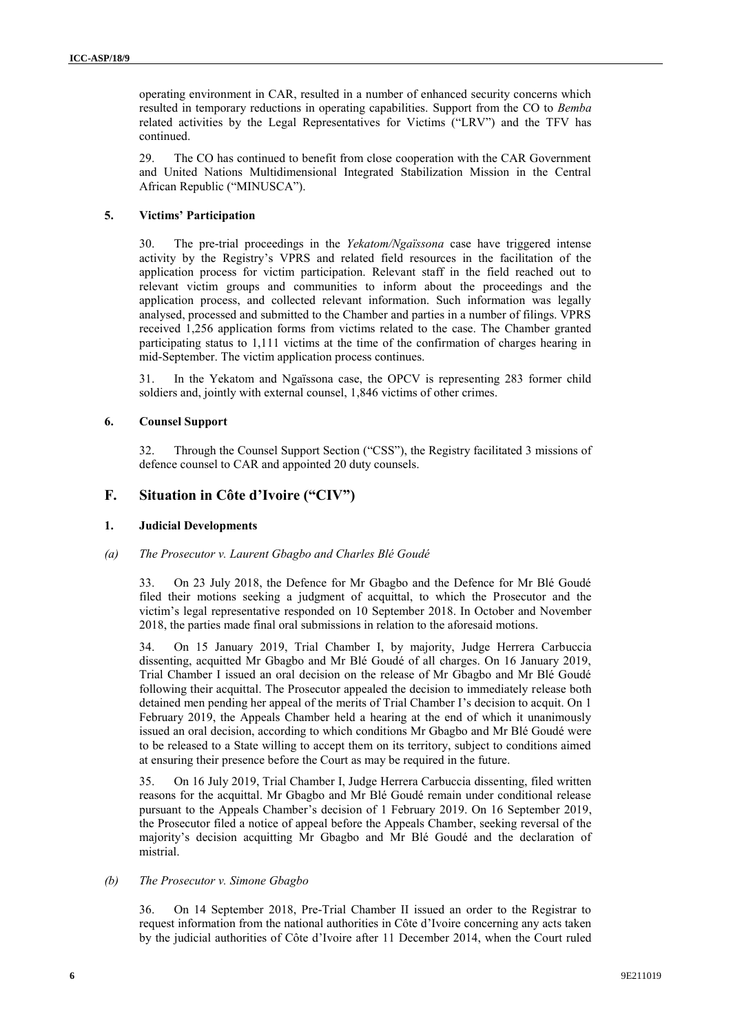operating environment in CAR, resulted in a number of enhanced security concerns which resulted in temporary reductions in operating capabilities. Support from the CO to *Bemba*  related activities by the Legal Representatives for Victims ("LRV") and the TFV has continued.

29. The CO has continued to benefit from close cooperation with the CAR Government and United Nations Multidimensional Integrated Stabilization Mission in the Central African Republic ("MINUSCA").

# **5. Victims' Participation**

30. The pre-trial proceedings in the *Yekatom/Ngaïssona* case have triggered intense activity by the Registry's VPRS and related field resources in the facilitation of the application process for victim participation. Relevant staff in the field reached out to relevant victim groups and communities to inform about the proceedings and the application process, and collected relevant information. Such information was legally analysed, processed and submitted to the Chamber and parties in a number of filings. VPRS received 1,256 application forms from victims related to the case. The Chamber granted participating status to 1,111 victims at the time of the confirmation of charges hearing in mid-September. The victim application process continues.

31. In the Yekatom and Ngaïssona case, the OPCV is representing 283 former child soldiers and, jointly with external counsel, 1,846 victims of other crimes.

## **6. Counsel Support**

32. Through the Counsel Support Section ("CSS"), the Registry facilitated 3 missions of defence counsel to CAR and appointed 20 duty counsels.

# **F. Situation in Côte d'Ivoire ("CIV")**

### **1. Judicial Developments**

### *(a) The Prosecutor v. Laurent Gbagbo and Charles Blé Goudé*

33. On 23 July 2018, the Defence for Mr Gbagbo and the Defence for Mr Blé Goudé filed their motions seeking a judgment of acquittal, to which the Prosecutor and the victim's legal representative responded on 10 September 2018. In October and November 2018, the parties made final oral submissions in relation to the aforesaid motions.

34. On 15 January 2019, Trial Chamber I, by majority, Judge Herrera Carbuccia dissenting, acquitted Mr Gbagbo and Mr Blé Goudé of all charges. On 16 January 2019, Trial Chamber I issued an oral decision on the release of Mr Gbagbo and Mr Blé Goudé following their acquittal. The Prosecutor appealed the decision to immediately release both detained men pending her appeal of the merits of Trial Chamber I's decision to acquit. On 1 February 2019, the Appeals Chamber held a hearing at the end of which it unanimously issued an oral decision, according to which conditions Mr Gbagbo and Mr Blé Goudé were to be released to a State willing to accept them on its territory, subject to conditions aimed at ensuring their presence before the Court as may be required in the future.

35. On 16 July 2019, Trial Chamber I, Judge Herrera Carbuccia dissenting, filed written reasons for the acquittal. Mr Gbagbo and Mr Blé Goudé remain under conditional release pursuant to the Appeals Chamber's decision of 1 February 2019. On 16 September 2019, the Prosecutor filed a notice of appeal before the Appeals Chamber, seeking reversal of the majority's decision acquitting Mr Gbagbo and Mr Blé Goudé and the declaration of mistrial.

### *(b) The Prosecutor v. Simone Gbagbo*

36. On 14 September 2018, Pre-Trial Chamber II issued an order to the Registrar to request information from the national authorities in Côte d'Ivoire concerning any acts taken by the judicial authorities of Côte d'Ivoire after 11 December 2014, when the Court ruled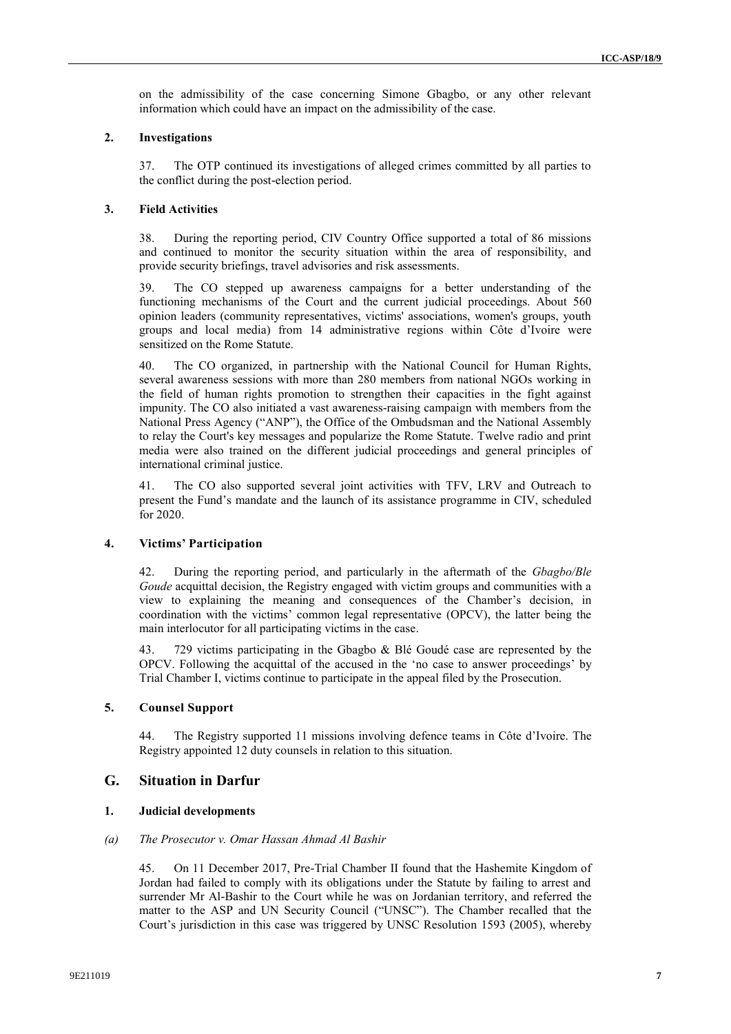on the admissibility of the case concerning Simone Gbagbo, or any other relevant information which could have an impact on the admissibility of the case.

### **2. Investigations**

37. The OTP continued its investigations of alleged crimes committed by all parties to the conflict during the post-election period.

### **3. Field Activities**

38. During the reporting period, CIV Country Office supported a total of 86 missions and continued to monitor the security situation within the area of responsibility, and provide security briefings, travel advisories and risk assessments.

39. The CO stepped up awareness campaigns for a better understanding of the functioning mechanisms of the Court and the current judicial proceedings. About 560 opinion leaders (community representatives, victims' associations, women's groups, youth groups and local media) from 14 administrative regions within Côte d'Ivoire were sensitized on the Rome Statute.

40. The CO organized, in partnership with the National Council for Human Rights, several awareness sessions with more than 280 members from national NGOs working in the field of human rights promotion to strengthen their capacities in the fight against impunity. The CO also initiated a vast awareness-raising campaign with members from the National Press Agency ("ANP"), the Office of the Ombudsman and the National Assembly to relay the Court's key messages and popularize the Rome Statute. Twelve radio and print media were also trained on the different judicial proceedings and general principles of international criminal justice.

41. The CO also supported several joint activities with TFV, LRV and Outreach to present the Fund's mandate and the launch of its assistance programme in CIV, scheduled for 2020.

# **4. Victims' Participation**

42. During the reporting period, and particularly in the aftermath of the *Gbagbo/Ble Goude* acquittal decision, the Registry engaged with victim groups and communities with a view to explaining the meaning and consequences of the Chamber's decision, in coordination with the victims' common legal representative (OPCV), the latter being the main interlocutor for all participating victims in the case.

43. 729 victims participating in the Gbagbo & Blé Goudé case are represented by the OPCV. Following the acquittal of the accused in the 'no case to answer proceedings' by Trial Chamber I, victims continue to participate in the appeal filed by the Prosecution.

# **5. Counsel Support**

44. The Registry supported 11 missions involving defence teams in Côte d'Ivoire. The Registry appointed 12 duty counsels in relation to this situation.

# **G. Situation in Darfur**

#### **1. Judicial developments**

# *(a) The Prosecutor v. Omar Hassan Ahmad Al Bashir*

45. On 11 December 2017, Pre-Trial Chamber II found that the Hashemite Kingdom of Jordan had failed to comply with its obligations under the Statute by failing to arrest and surrender Mr Al-Bashir to the Court while he was on Jordanian territory, and referred the matter to the ASP and UN Security Council ("UNSC"). The Chamber recalled that the Court's jurisdiction in this case was triggered by UNSC Resolution 1593 (2005), whereby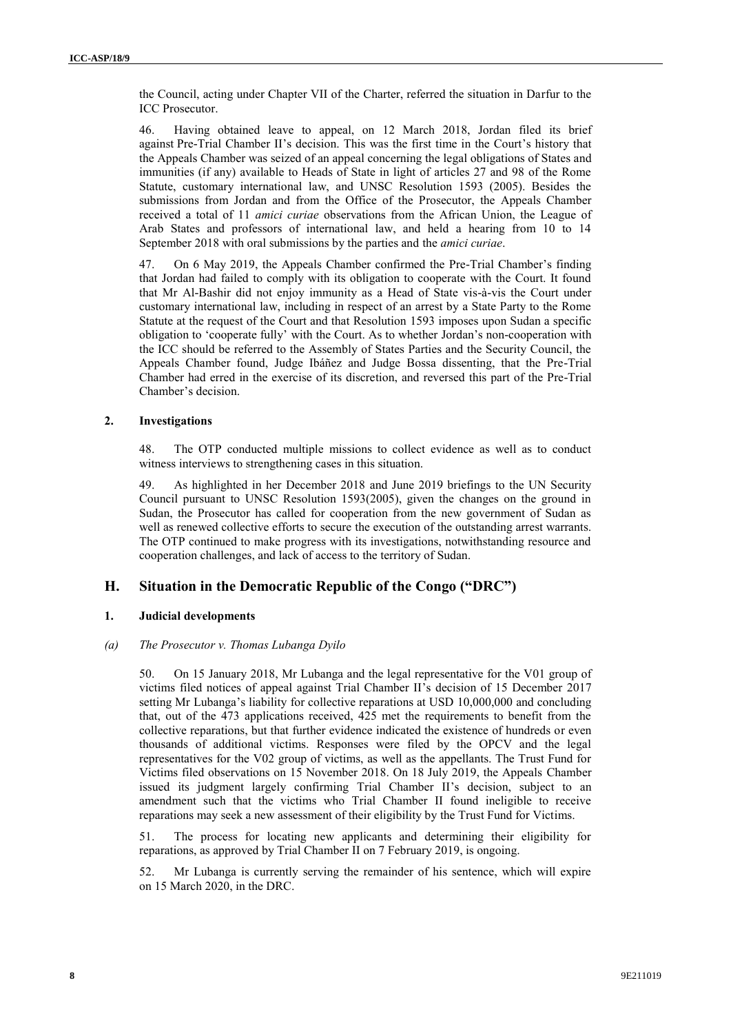the Council, acting under Chapter VII of the Charter, referred the situation in Darfur to the ICC Prosecutor.

46. Having obtained leave to appeal, on 12 March 2018, Jordan filed its brief against Pre-Trial Chamber II's decision. This was the first time in the Court's history that the Appeals Chamber was seized of an appeal concerning the legal obligations of States and immunities (if any) available to Heads of State in light of articles 27 and 98 of the Rome Statute, customary international law, and UNSC Resolution 1593 (2005). Besides the submissions from Jordan and from the Office of the Prosecutor, the Appeals Chamber received a total of 11 *amici curiae* observations from the African Union, the League of Arab States and professors of international law, and held a hearing from 10 to 14 September 2018 with oral submissions by the parties and the *amici curiae*.

47. On 6 May 2019, the Appeals Chamber confirmed the Pre-Trial Chamber's finding that Jordan had failed to comply with its obligation to cooperate with the Court. It found that Mr Al-Bashir did not enjoy immunity as a Head of State vis-à-vis the Court under customary international law, including in respect of an arrest by a State Party to the Rome Statute at the request of the Court and that Resolution 1593 imposes upon Sudan a specific obligation to 'cooperate fully' with the Court. As to whether Jordan's non-cooperation with the ICC should be referred to the Assembly of States Parties and the Security Council, the Appeals Chamber found, Judge Ibáñez and Judge Bossa dissenting, that the Pre-Trial Chamber had erred in the exercise of its discretion, and reversed this part of the Pre-Trial Chamber's decision.

#### **2. Investigations**

48. The OTP conducted multiple missions to collect evidence as well as to conduct witness interviews to strengthening cases in this situation.

49. As highlighted in her December 2018 and June 2019 briefings to the UN Security Council pursuant to UNSC Resolution 1593(2005), given the changes on the ground in Sudan, the Prosecutor has called for cooperation from the new government of Sudan as well as renewed collective efforts to secure the execution of the outstanding arrest warrants. The OTP continued to make progress with its investigations, notwithstanding resource and cooperation challenges, and lack of access to the territory of Sudan.

# **H. Situation in the Democratic Republic of the Congo ("DRC")**

### **1. Judicial developments**

#### *(a) The Prosecutor v. Thomas Lubanga Dyilo*

50. On 15 January 2018, Mr Lubanga and the legal representative for the V01 group of victims filed notices of appeal against Trial Chamber II's decision of 15 December 2017 setting Mr Lubanga's liability for collective reparations at USD 10,000,000 and concluding that, out of the 473 applications received, 425 met the requirements to benefit from the collective reparations, but that further evidence indicated the existence of hundreds or even thousands of additional victims. Responses were filed by the OPCV and the legal representatives for the V02 group of victims, as well as the appellants. The Trust Fund for Victims filed observations on 15 November 2018. On 18 July 2019, the Appeals Chamber issued its judgment largely confirming Trial Chamber II's decision, subject to an amendment such that the victims who Trial Chamber II found ineligible to receive reparations may seek a new assessment of their eligibility by the Trust Fund for Victims.

51. The process for locating new applicants and determining their eligibility for reparations, as approved by Trial Chamber II on 7 February 2019, is ongoing.

52. Mr Lubanga is currently serving the remainder of his sentence, which will expire on 15 March 2020, in the DRC.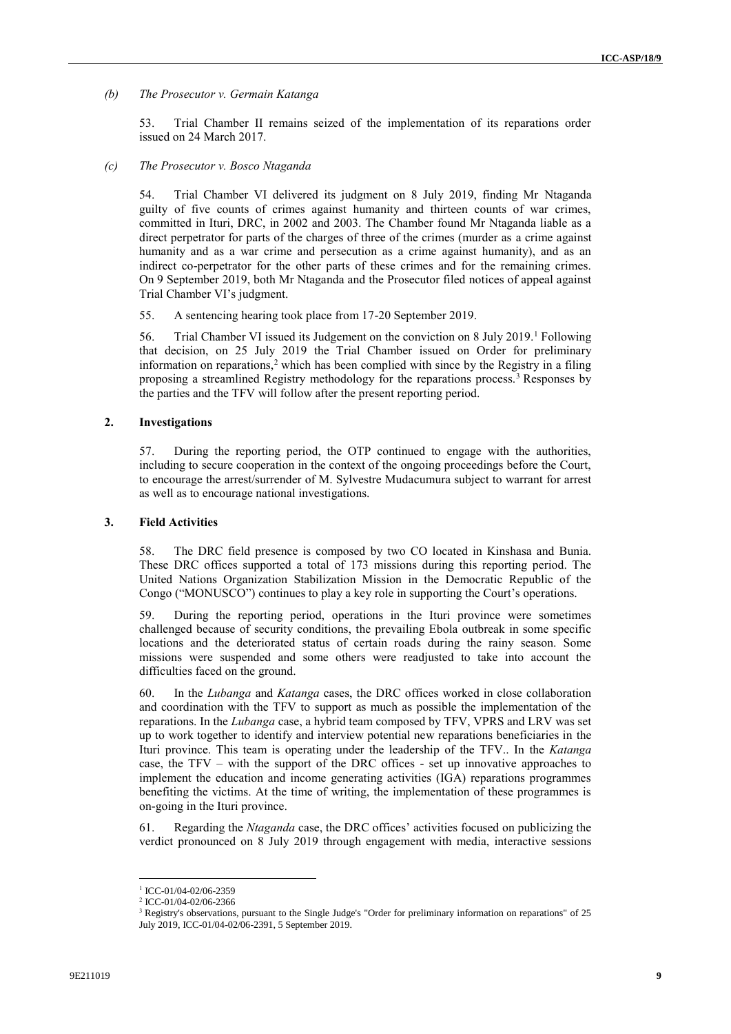*(b) The Prosecutor v. Germain Katanga*

53. Trial Chamber II remains seized of the implementation of its reparations order issued on 24 March 2017.

*(c) The Prosecutor v. Bosco Ntaganda*

54. Trial Chamber VI delivered its judgment on 8 July 2019, finding Mr Ntaganda guilty of five counts of crimes against humanity and thirteen counts of war crimes, committed in Ituri, DRC, in 2002 and 2003. The Chamber found Mr Ntaganda liable as a direct perpetrator for parts of the charges of three of the crimes (murder as a crime against humanity and as a war crime and persecution as a crime against humanity), and as an indirect co-perpetrator for the other parts of these crimes and for the remaining crimes. On 9 September 2019, both Mr Ntaganda and the Prosecutor filed notices of appeal against Trial Chamber VI's judgment.

55. A sentencing hearing took place from 17-20 September 2019.

56. Trial Chamber VI issued its Judgement on the conviction on 8 July 2019.<sup>1</sup> Following that decision, on 25 July 2019 the Trial Chamber issued on Order for preliminary information on reparations,<sup>2</sup> which has been complied with since by the Registry in a filing proposing a streamlined Registry methodology for the reparations process.<sup>3</sup> Responses by the parties and the TFV will follow after the present reporting period.

# **2. Investigations**

57. During the reporting period, the OTP continued to engage with the authorities, including to secure cooperation in the context of the ongoing proceedings before the Court, to encourage the arrest/surrender of M. Sylvestre Mudacumura subject to warrant for arrest as well as to encourage national investigations.

#### **3. Field Activities**

58. The DRC field presence is composed by two CO located in Kinshasa and Bunia. These DRC offices supported a total of 173 missions during this reporting period. The United Nations Organization Stabilization Mission in the Democratic Republic of the Congo ("MONUSCO") continues to play a key role in supporting the Court's operations.

59. During the reporting period, operations in the Ituri province were sometimes challenged because of security conditions, the prevailing Ebola outbreak in some specific locations and the deteriorated status of certain roads during the rainy season. Some missions were suspended and some others were readjusted to take into account the difficulties faced on the ground.

60. In the *Lubanga* and *Katanga* cases, the DRC offices worked in close collaboration and coordination with the TFV to support as much as possible the implementation of the reparations. In the *Lubanga* case, a hybrid team composed by TFV, VPRS and LRV was set up to work together to identify and interview potential new reparations beneficiaries in the Ituri province. This team is operating under the leadership of the TFV.. In the *Katanga* case, the TFV – with the support of the DRC offices - set up innovative approaches to implement the education and income generating activities (IGA) reparations programmes benefiting the victims. At the time of writing, the implementation of these programmes is on-going in the Ituri province.

61. Regarding the *Ntaganda* case, the DRC offices' activities focused on publicizing the verdict pronounced on 8 July 2019 through engagement with media, interactive sessions

l

<sup>1</sup> ICC-01/04-02/06-2359

<sup>2</sup> ICC-01/04-02/06-2366

<sup>&</sup>lt;sup>3</sup> Registry's observations, pursuant to the Single Judge's "Order for preliminary information on reparations" of 25 July 2019, ICC-01/04-02/06-2391, 5 September 2019.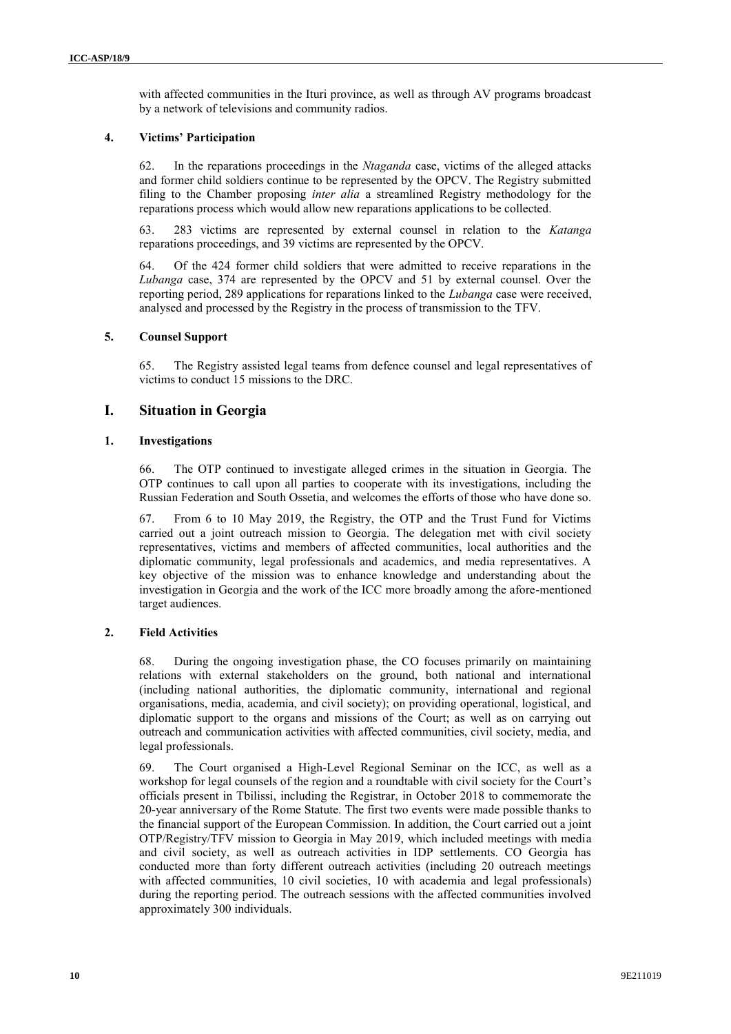with affected communities in the Ituri province, as well as through AV programs broadcast by a network of televisions and community radios.

## **4. Victims' Participation**

62. In the reparations proceedings in the *Ntaganda* case, victims of the alleged attacks and former child soldiers continue to be represented by the OPCV. The Registry submitted filing to the Chamber proposing *inter alia* a streamlined Registry methodology for the reparations process which would allow new reparations applications to be collected.

63. 283 victims are represented by external counsel in relation to the *Katanga* reparations proceedings, and 39 victims are represented by the OPCV.

64. Of the 424 former child soldiers that were admitted to receive reparations in the *Lubanga* case, 374 are represented by the OPCV and 51 by external counsel. Over the reporting period, 289 applications for reparations linked to the *Lubanga* case were received, analysed and processed by the Registry in the process of transmission to the TFV.

## **5. Counsel Support**

65. The Registry assisted legal teams from defence counsel and legal representatives of victims to conduct 15 missions to the DRC.

# **I. Situation in Georgia**

## **1. Investigations**

66. The OTP continued to investigate alleged crimes in the situation in Georgia. The OTP continues to call upon all parties to cooperate with its investigations, including the Russian Federation and South Ossetia, and welcomes the efforts of those who have done so.

67. From 6 to 10 May 2019, the Registry, the OTP and the Trust Fund for Victims carried out a joint outreach mission to Georgia. The delegation met with civil society representatives, victims and members of affected communities, local authorities and the diplomatic community, legal professionals and academics, and media representatives. A key objective of the mission was to enhance knowledge and understanding about the investigation in Georgia and the work of the ICC more broadly among the afore-mentioned target audiences.

# **2. Field Activities**

68. During the ongoing investigation phase, the CO focuses primarily on maintaining relations with external stakeholders on the ground, both national and international (including national authorities, the diplomatic community, international and regional organisations, media, academia, and civil society); on providing operational, logistical, and diplomatic support to the organs and missions of the Court; as well as on carrying out outreach and communication activities with affected communities, civil society, media, and legal professionals.

69. The Court organised a High-Level Regional Seminar on the ICC, as well as a workshop for legal counsels of the region and a roundtable with civil society for the Court's officials present in Tbilissi, including the Registrar, in October 2018 to commemorate the 20-year anniversary of the Rome Statute. The first two events were made possible thanks to the financial support of the European Commission. In addition, the Court carried out a joint OTP/Registry/TFV mission to Georgia in May 2019, which included meetings with media and civil society, as well as outreach activities in IDP settlements. CO Georgia has conducted more than forty different outreach activities (including 20 outreach meetings with affected communities, 10 civil societies, 10 with academia and legal professionals) during the reporting period. The outreach sessions with the affected communities involved approximately 300 individuals.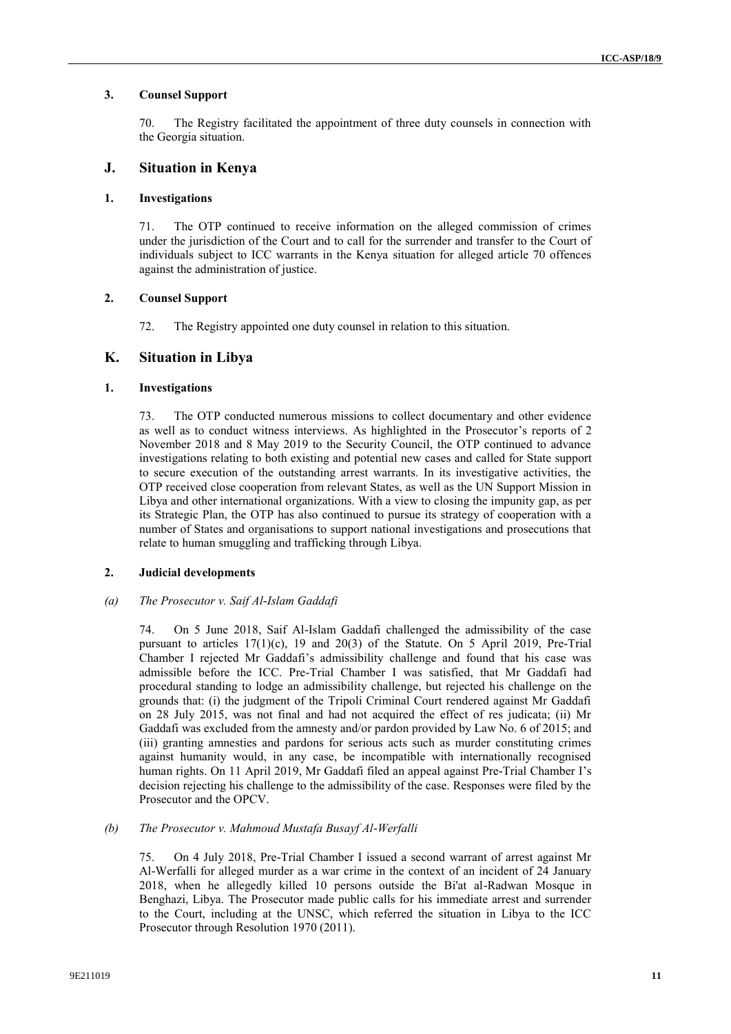# **3. Counsel Support**

70. The Registry facilitated the appointment of three duty counsels in connection with the Georgia situation.

# **J. Situation in Kenya**

## **1. Investigations**

71. The OTP continued to receive information on the alleged commission of crimes under the jurisdiction of the Court and to call for the surrender and transfer to the Court of individuals subject to ICC warrants in the Kenya situation for alleged article 70 offences against the administration of justice.

## **2. Counsel Support**

72. The Registry appointed one duty counsel in relation to this situation.

# **K. Situation in Libya**

# **1. Investigations**

73. The OTP conducted numerous missions to collect documentary and other evidence as well as to conduct witness interviews. As highlighted in the Prosecutor's reports of 2 November 2018 and 8 May 2019 to the Security Council, the OTP continued to advance investigations relating to both existing and potential new cases and called for State support to secure execution of the outstanding arrest warrants. In its investigative activities, the OTP received close cooperation from relevant States, as well as the UN Support Mission in Libya and other international organizations. With a view to closing the impunity gap, as per its Strategic Plan, the OTP has also continued to pursue its strategy of cooperation with a number of States and organisations to support national investigations and prosecutions that relate to human smuggling and trafficking through Libya.

# **2. Judicial developments**

### *(a) The Prosecutor v. Saif Al-Islam Gaddafi*

74. On 5 June 2018, Saif Al-Islam Gaddafi challenged the admissibility of the case pursuant to articles  $17(1)(c)$ , 19 and  $20(3)$  of the Statute. On 5 April 2019, Pre-Trial Chamber I rejected Mr Gaddafi's admissibility challenge and found that his case was admissible before the ICC. Pre-Trial Chamber I was satisfied, that Mr Gaddafi had procedural standing to lodge an admissibility challenge, but rejected his challenge on the grounds that: (i) the judgment of the Tripoli Criminal Court rendered against Mr Gaddafi on 28 July 2015, was not final and had not acquired the effect of res judicata; (ii) Mr Gaddafi was excluded from the amnesty and/or pardon provided by Law No. 6 of 2015; and (iii) granting amnesties and pardons for serious acts such as murder constituting crimes against humanity would, in any case, be incompatible with internationally recognised human rights. On 11 April 2019, Mr Gaddafi filed an appeal against Pre-Trial Chamber I's decision rejecting his challenge to the admissibility of the case. Responses were filed by the Prosecutor and the OPCV.

### *(b) The Prosecutor v. Mahmoud Mustafa Busayf Al-Werfalli*

75. On 4 July 2018, Pre-Trial Chamber I issued a second warrant of arrest against Mr Al-Werfalli for alleged murder as a war crime in the context of an incident of 24 January 2018, when he allegedly killed 10 persons outside the Bi'at al-Radwan Mosque in Benghazi, Libya. The Prosecutor made public calls for his immediate arrest and surrender to the Court, including at the UNSC, which referred the situation in Libya to the ICC Prosecutor through Resolution 1970 (2011).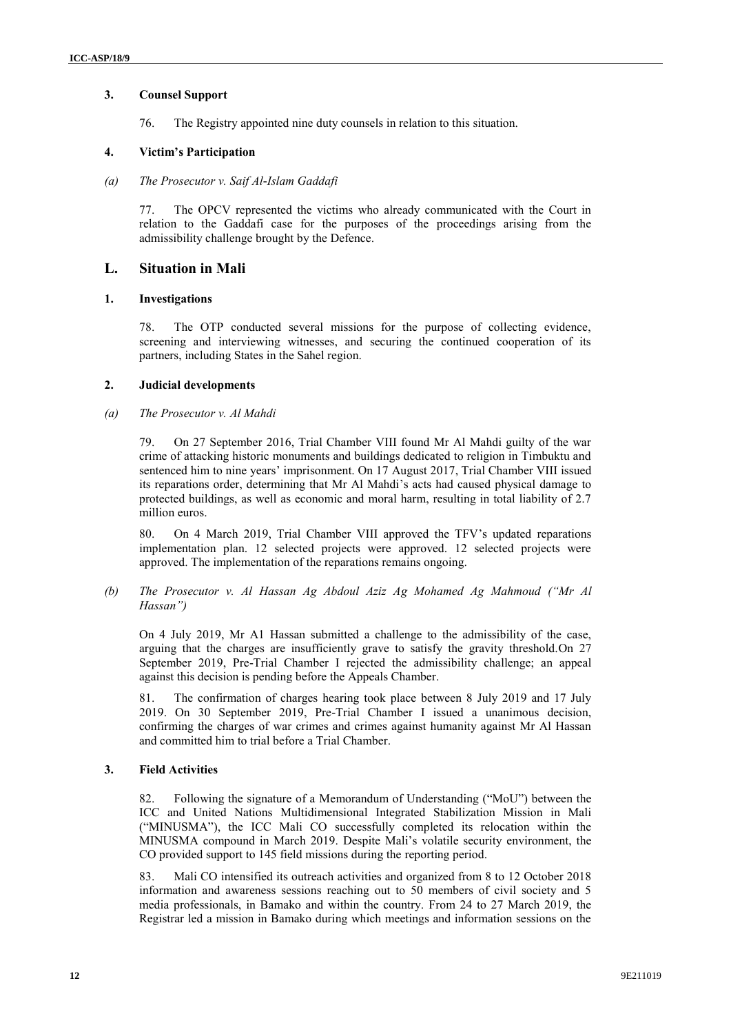# **3. Counsel Support**

76. The Registry appointed nine duty counsels in relation to this situation.

# **4. Victim's Participation**

### *(a) The Prosecutor v. Saif Al-Islam Gaddafi*

77. The OPCV represented the victims who already communicated with the Court in relation to the Gaddafi case for the purposes of the proceedings arising from the admissibility challenge brought by the Defence.

# **L. Situation in Mali**

## **1. Investigations**

78. The OTP conducted several missions for the purpose of collecting evidence, screening and interviewing witnesses, and securing the continued cooperation of its partners, including States in the Sahel region.

# **2. Judicial developments**

## *(a) The Prosecutor v. Al Mahdi*

79. On 27 September 2016, Trial Chamber VIII found Mr Al Mahdi guilty of the war crime of attacking historic monuments and buildings dedicated to religion in Timbuktu and sentenced him to nine years' imprisonment. On 17 August 2017, Trial Chamber VIII issued its reparations order, determining that Mr Al Mahdi's acts had caused physical damage to protected buildings, as well as economic and moral harm, resulting in total liability of 2.7 million euros.

80. On 4 March 2019, Trial Chamber VIII approved the TFV's updated reparations implementation plan. 12 selected projects were approved. 12 selected projects were approved. The implementation of the reparations remains ongoing.

## *(b) The Prosecutor v. Al Hassan Ag Abdoul Aziz Ag Mohamed Ag Mahmoud ("Mr Al Hassan")*

On 4 July 2019, Mr A1 Hassan submitted a challenge to the admissibility of the case, arguing that the charges are insufficiently grave to satisfy the gravity threshold.On 27 September 2019, Pre-Trial Chamber I rejected the admissibility challenge; an appeal against this decision is pending before the Appeals Chamber.

81. The confirmation of charges hearing took place between 8 July 2019 and 17 July 2019. On 30 September 2019, Pre-Trial Chamber I issued a unanimous decision, confirming the charges of war crimes and crimes against humanity against Mr Al Hassan and committed him to trial before a Trial Chamber.

# **3. Field Activities**

82. Following the signature of a Memorandum of Understanding ("MoU") between the ICC and United Nations Multidimensional Integrated Stabilization Mission in Mali ("MINUSMA"), the ICC Mali CO successfully completed its relocation within the MINUSMA compound in March 2019. Despite Mali's volatile security environment, the CO provided support to 145 field missions during the reporting period.

83. Mali CO intensified its outreach activities and organized from 8 to 12 October 2018 information and awareness sessions reaching out to 50 members of civil society and 5 media professionals, in Bamako and within the country. From 24 to 27 March 2019, the Registrar led a mission in Bamako during which meetings and information sessions on the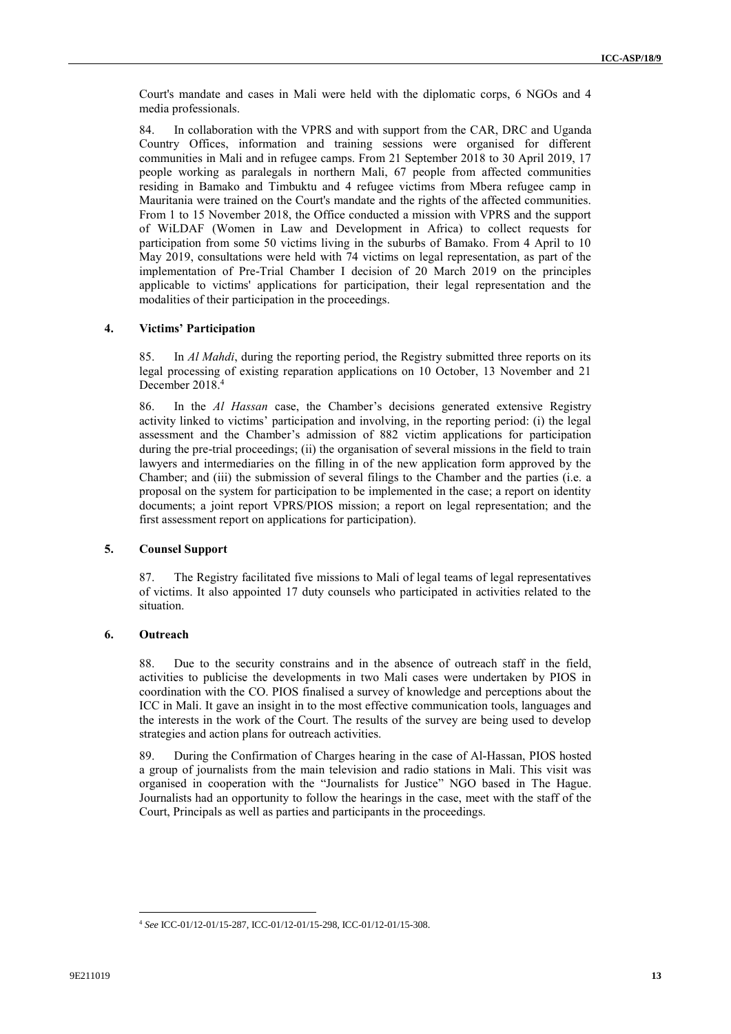Court's mandate and cases in Mali were held with the diplomatic corps, 6 NGOs and 4 media professionals.

84. In collaboration with the VPRS and with support from the CAR, DRC and Uganda Country Offices, information and training sessions were organised for different communities in Mali and in refugee camps. From 21 September 2018 to 30 April 2019, 17 people working as paralegals in northern Mali, 67 people from affected communities residing in Bamako and Timbuktu and 4 refugee victims from Mbera refugee camp in Mauritania were trained on the Court's mandate and the rights of the affected communities. From 1 to 15 November 2018, the Office conducted a mission with VPRS and the support of WiLDAF (Women in Law and Development in Africa) to collect requests for participation from some 50 victims living in the suburbs of Bamako. From 4 April to 10 May 2019, consultations were held with 74 victims on legal representation, as part of the implementation of Pre-Trial Chamber I decision of 20 March 2019 on the principles applicable to victims' applications for participation, their legal representation and the modalities of their participation in the proceedings.

# **4. Victims' Participation**

85. In *Al Mahdi*, during the reporting period, the Registry submitted three reports on its legal processing of existing reparation applications on 10 October, 13 November and 21 December 2018.<sup>4</sup>

86. In the *Al Hassan* case, the Chamber's decisions generated extensive Registry activity linked to victims' participation and involving, in the reporting period: (i) the legal assessment and the Chamber's admission of 882 victim applications for participation during the pre-trial proceedings; (ii) the organisation of several missions in the field to train lawyers and intermediaries on the filling in of the new application form approved by the Chamber; and (iii) the submission of several filings to the Chamber and the parties (i.e. a proposal on the system for participation to be implemented in the case; a report on identity documents; a joint report VPRS/PIOS mission; a report on legal representation; and the first assessment report on applications for participation).

## **5. Counsel Support**

87. The Registry facilitated five missions to Mali of legal teams of legal representatives of victims. It also appointed 17 duty counsels who participated in activities related to the situation.

#### **6. Outreach**

88. Due to the security constrains and in the absence of outreach staff in the field, activities to publicise the developments in two Mali cases were undertaken by PIOS in coordination with the CO. PIOS finalised a survey of knowledge and perceptions about the ICC in Mali. It gave an insight in to the most effective communication tools, languages and the interests in the work of the Court. The results of the survey are being used to develop strategies and action plans for outreach activities.

89. During the Confirmation of Charges hearing in the case of Al-Hassan, PIOS hosted a group of journalists from the main television and radio stations in Mali. This visit was organised in cooperation with the "Journalists for Justice" NGO based in The Hague. Journalists had an opportunity to follow the hearings in the case, meet with the staff of the Court, Principals as well as parties and participants in the proceedings.

 $\overline{\phantom{a}}$ <sup>4</sup> *See* ICC-01/12-01/15-287, ICC-01/12-01/15-298, ICC-01/12-01/15-308.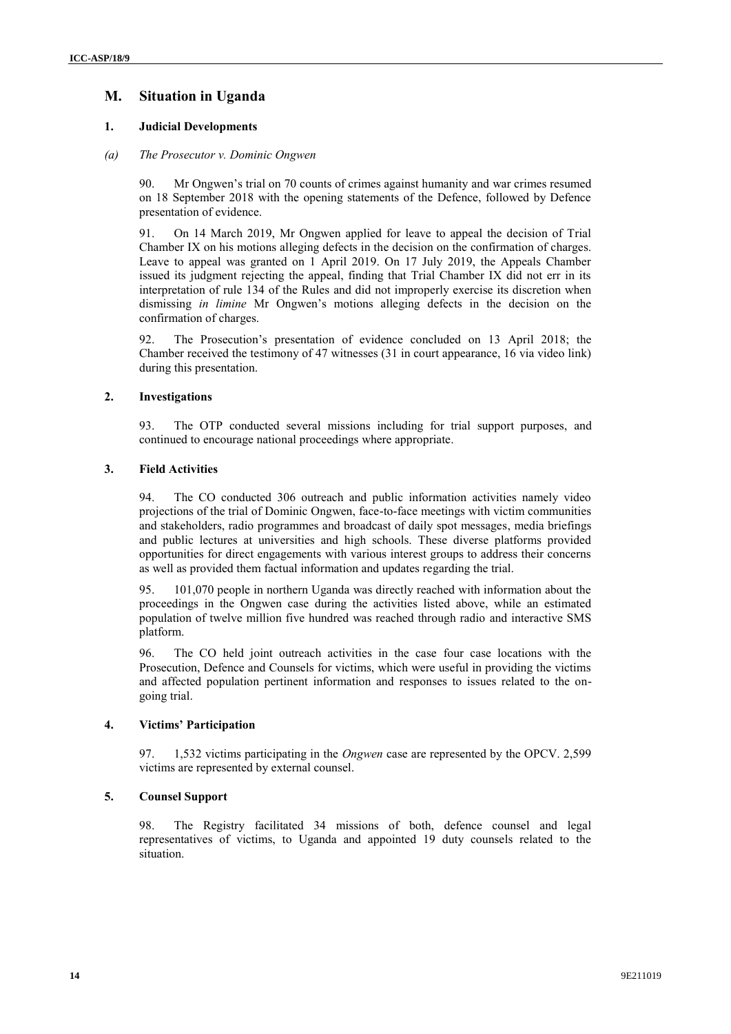# **M. Situation in Uganda**

# **1. Judicial Developments**

## *(a) The Prosecutor v. Dominic Ongwen*

90. Mr Ongwen's trial on 70 counts of crimes against humanity and war crimes resumed on 18 September 2018 with the opening statements of the Defence, followed by Defence presentation of evidence.

91. On 14 March 2019, Mr Ongwen applied for leave to appeal the decision of Trial Chamber IX on his motions alleging defects in the decision on the confirmation of charges. Leave to appeal was granted on 1 April 2019. On 17 July 2019, the Appeals Chamber issued its judgment rejecting the appeal, finding that Trial Chamber IX did not err in its interpretation of rule 134 of the Rules and did not improperly exercise its discretion when dismissing *in limine* Mr Ongwen's motions alleging defects in the decision on the confirmation of charges.

92. The Prosecution's presentation of evidence concluded on 13 April 2018; the Chamber received the testimony of 47 witnesses (31 in court appearance, 16 via video link) during this presentation.

# **2. Investigations**

93. The OTP conducted several missions including for trial support purposes, and continued to encourage national proceedings where appropriate.

# **3. Field Activities**

94. The CO conducted 306 outreach and public information activities namely video projections of the trial of Dominic Ongwen, face-to-face meetings with victim communities and stakeholders, radio programmes and broadcast of daily spot messages, media briefings and public lectures at universities and high schools. These diverse platforms provided opportunities for direct engagements with various interest groups to address their concerns as well as provided them factual information and updates regarding the trial.

95. 101,070 people in northern Uganda was directly reached with information about the proceedings in the Ongwen case during the activities listed above, while an estimated population of twelve million five hundred was reached through radio and interactive SMS platform.

96. The CO held joint outreach activities in the case four case locations with the Prosecution, Defence and Counsels for victims, which were useful in providing the victims and affected population pertinent information and responses to issues related to the ongoing trial.

# **4. Victims' Participation**

97. 1,532 victims participating in the *Ongwen* case are represented by the OPCV. 2,599 victims are represented by external counsel.

# **5. Counsel Support**

98. The Registry facilitated 34 missions of both, defence counsel and legal representatives of victims, to Uganda and appointed 19 duty counsels related to the situation.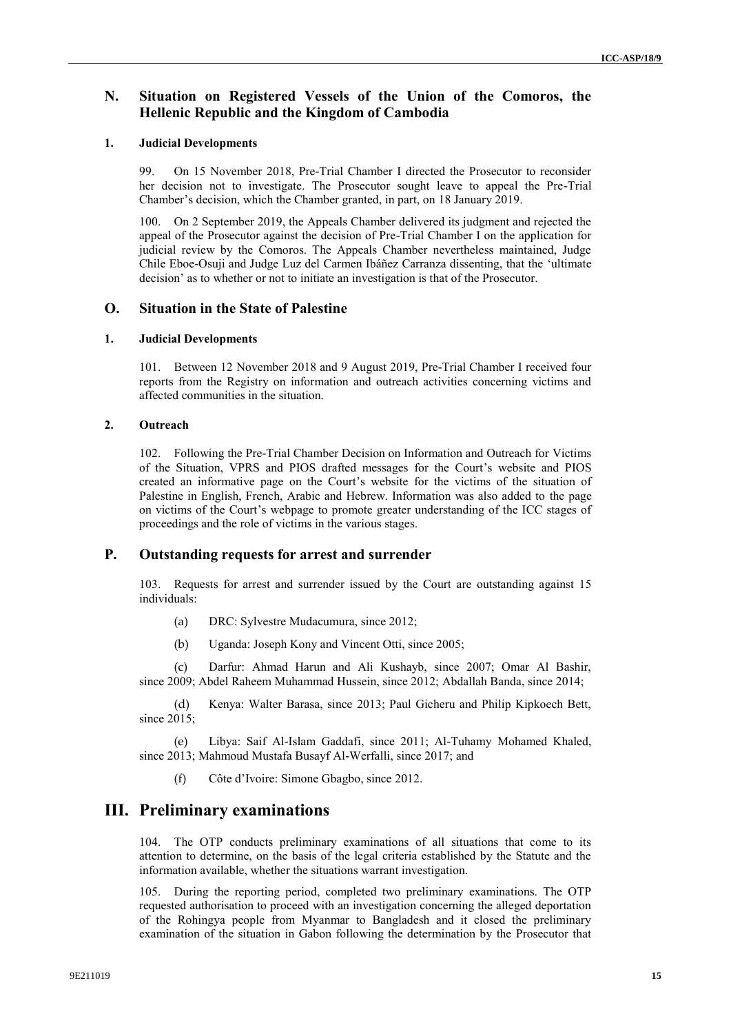# **N. Situation on Registered Vessels of the Union of the Comoros, the Hellenic Republic and the Kingdom of Cambodia**

## **1. Judicial Developments**

99. On 15 November 2018, Pre-Trial Chamber I directed the Prosecutor to reconsider her decision not to investigate. The Prosecutor sought leave to appeal the Pre-Trial Chamber's decision, which the Chamber granted, in part, on 18 January 2019.

100. On 2 September 2019, the Appeals Chamber delivered its judgment and rejected the appeal of the Prosecutor against the decision of Pre-Trial Chamber I on the application for judicial review by the Comoros. The Appeals Chamber nevertheless maintained, Judge Chile Eboe-Osuji and Judge Luz del Carmen Ibáñez Carranza dissenting, that the 'ultimate decision' as to whether or not to initiate an investigation is that of the Prosecutor.

# **O. Situation in the State of Palestine**

## **1. Judicial Developments**

101. Between 12 November 2018 and 9 August 2019, Pre-Trial Chamber I received four reports from the Registry on information and outreach activities concerning victims and affected communities in the situation.

# **2. Outreach**

102. Following the Pre-Trial Chamber Decision on Information and Outreach for Victims of the Situation, VPRS and PIOS drafted messages for the Court's website and PIOS created an informative page on the Court's website for the victims of the situation of Palestine in English, French, Arabic and Hebrew. Information was also added to the page on victims of the Court's webpage to promote greater understanding of the ICC stages of proceedings and the role of victims in the various stages.

# **P. Outstanding requests for arrest and surrender**

103. Requests for arrest and surrender issued by the Court are outstanding against 15 individuals:

- (a) DRC: Sylvestre Mudacumura, since 2012;
- (b) Uganda: Joseph Kony and Vincent Otti, since 2005;

(c) Darfur: Ahmad Harun and Ali Kushayb, since 2007; Omar Al Bashir, since 2009; Abdel Raheem Muhammad Hussein, since 2012; Abdallah Banda, since 2014;

(d) Kenya: Walter Barasa, since 2013; Paul Gicheru and Philip Kipkoech Bett, since 2015;

(e) Libya: Saif Al-Islam Gaddafi, since 2011; Al-Tuhamy Mohamed Khaled, since 2013; Mahmoud Mustafa Busayf Al-Werfalli, since 2017; and

(f) Côte d'Ivoire: Simone Gbagbo, since 2012.

# **III. Preliminary examinations**

104. The OTP conducts preliminary examinations of all situations that come to its attention to determine, on the basis of the legal criteria established by the Statute and the information available, whether the situations warrant investigation.

105. During the reporting period, completed two preliminary examinations. The OTP requested authorisation to proceed with an investigation concerning the alleged deportation of the Rohingya people from Myanmar to Bangladesh and it closed the preliminary examination of the situation in Gabon following the determination by the Prosecutor that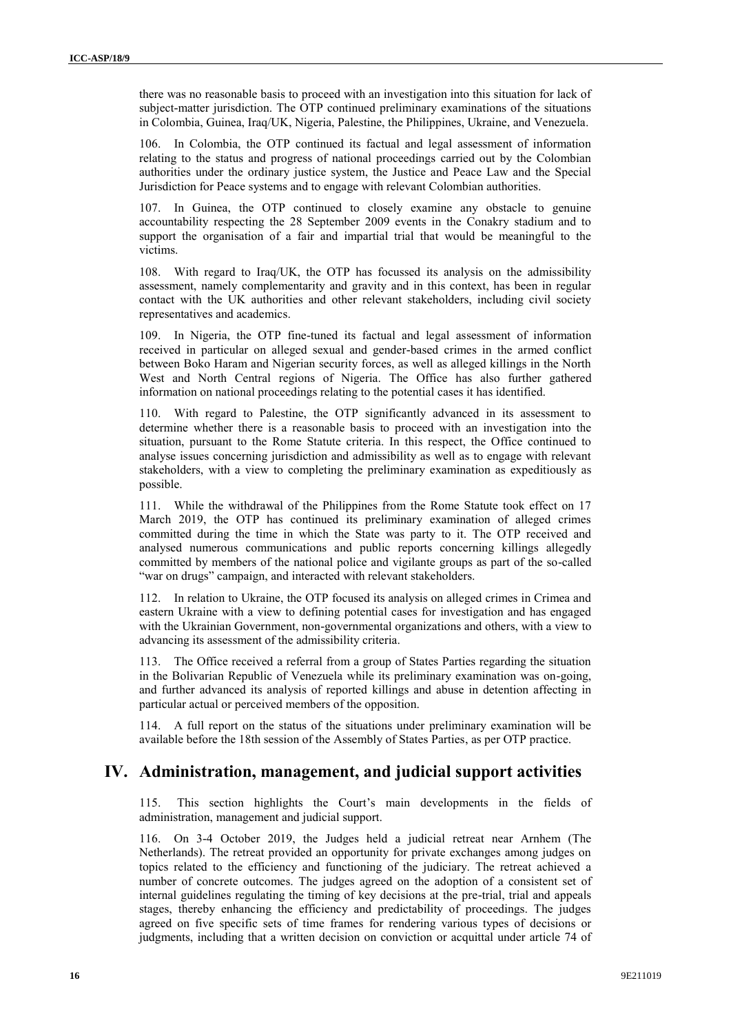there was no reasonable basis to proceed with an investigation into this situation for lack of subject-matter jurisdiction. The OTP continued preliminary examinations of the situations in Colombia, Guinea, Iraq/UK, Nigeria, Palestine, the Philippines, Ukraine, and Venezuela.

106. In Colombia, the OTP continued its factual and legal assessment of information relating to the status and progress of national proceedings carried out by the Colombian authorities under the ordinary justice system, the Justice and Peace Law and the Special Jurisdiction for Peace systems and to engage with relevant Colombian authorities.

107. In Guinea, the OTP continued to closely examine any obstacle to genuine accountability respecting the 28 September 2009 events in the Conakry stadium and to support the organisation of a fair and impartial trial that would be meaningful to the victims.

108. With regard to Iraq/UK, the OTP has focussed its analysis on the admissibility assessment, namely complementarity and gravity and in this context, has been in regular contact with the UK authorities and other relevant stakeholders, including civil society representatives and academics.

109. In Nigeria, the OTP fine-tuned its factual and legal assessment of information received in particular on alleged sexual and gender-based crimes in the armed conflict between Boko Haram and Nigerian security forces, as well as alleged killings in the North West and North Central regions of Nigeria. The Office has also further gathered information on national proceedings relating to the potential cases it has identified.

110. With regard to Palestine, the OTP significantly advanced in its assessment to determine whether there is a reasonable basis to proceed with an investigation into the situation, pursuant to the Rome Statute criteria. In this respect, the Office continued to analyse issues concerning jurisdiction and admissibility as well as to engage with relevant stakeholders, with a view to completing the preliminary examination as expeditiously as possible.

111. While the withdrawal of the Philippines from the Rome Statute took effect on 17 March 2019, the OTP has continued its preliminary examination of alleged crimes committed during the time in which the State was party to it. The OTP received and analysed numerous communications and public reports concerning killings allegedly committed by members of the national police and vigilante groups as part of the so-called "war on drugs" campaign, and interacted with relevant stakeholders.

112. In relation to Ukraine, the OTP focused its analysis on alleged crimes in Crimea and eastern Ukraine with a view to defining potential cases for investigation and has engaged with the Ukrainian Government, non-governmental organizations and others, with a view to advancing its assessment of the admissibility criteria.

113. The Office received a referral from a group of States Parties regarding the situation in the Bolivarian Republic of Venezuela while its preliminary examination was on-going, and further advanced its analysis of reported killings and abuse in detention affecting in particular actual or perceived members of the opposition.

114. A full report on the status of the situations under preliminary examination will be available before the 18th session of the Assembly of States Parties, as per OTP practice.

# **IV. Administration, management, and judicial support activities**

115. This section highlights the Court's main developments in the fields of administration, management and judicial support.

116. On 3-4 October 2019, the Judges held a judicial retreat near Arnhem (The Netherlands). The retreat provided an opportunity for private exchanges among judges on topics related to the efficiency and functioning of the judiciary. The retreat achieved a number of concrete outcomes. The judges agreed on the adoption of a consistent set of internal guidelines regulating the timing of key decisions at the pre-trial, trial and appeals stages, thereby enhancing the efficiency and predictability of proceedings. The judges agreed on five specific sets of time frames for rendering various types of decisions or judgments, including that a written decision on conviction or acquittal under article 74 of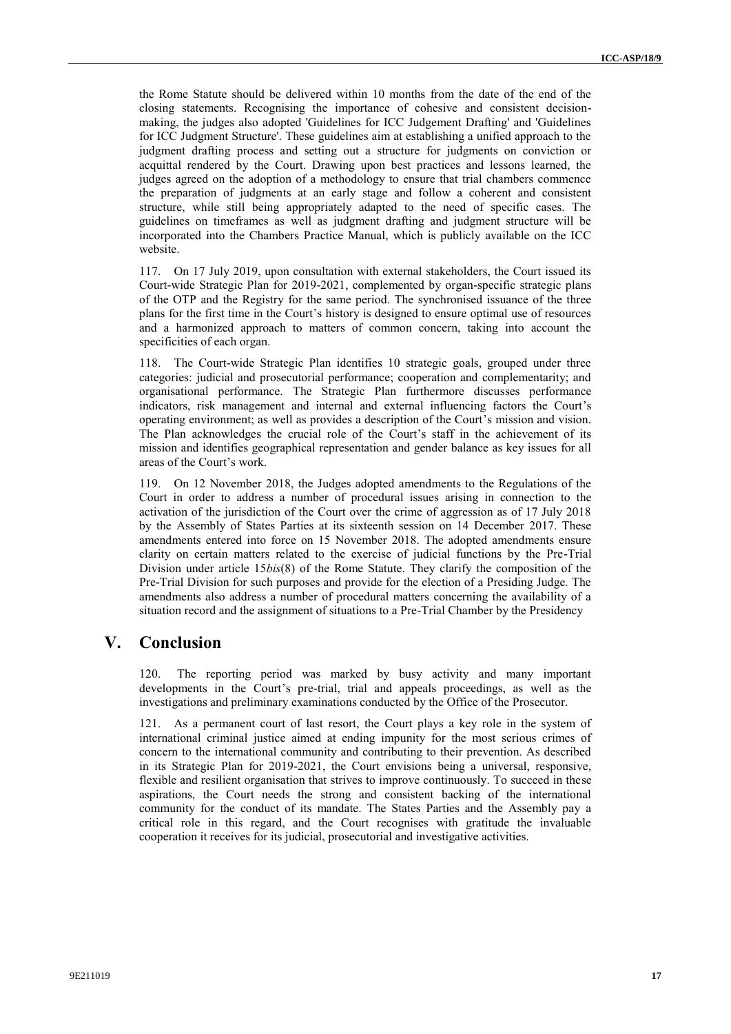the Rome Statute should be delivered within 10 months from the date of the end of the closing statements. Recognising the importance of cohesive and consistent decisionmaking, the judges also adopted 'Guidelines for ICC Judgement Drafting' and 'Guidelines for ICC Judgment Structure'. These guidelines aim at establishing a unified approach to the judgment drafting process and setting out a structure for judgments on conviction or acquittal rendered by the Court. Drawing upon best practices and lessons learned, the judges agreed on the adoption of a methodology to ensure that trial chambers commence the preparation of judgments at an early stage and follow a coherent and consistent structure, while still being appropriately adapted to the need of specific cases. The guidelines on timeframes as well as judgment drafting and judgment structure will be incorporated into the Chambers Practice Manual, which is publicly available on the ICC website.

117. On 17 July 2019, upon consultation with external stakeholders, the Court issued its Court-wide Strategic Plan for 2019-2021, complemented by organ-specific strategic plans of the OTP and the Registry for the same period. The synchronised issuance of the three plans for the first time in the Court's history is designed to ensure optimal use of resources and a harmonized approach to matters of common concern, taking into account the specificities of each organ.

118. The Court-wide Strategic Plan identifies 10 strategic goals, grouped under three categories: judicial and prosecutorial performance; cooperation and complementarity; and organisational performance. The Strategic Plan furthermore discusses performance indicators, risk management and internal and external influencing factors the Court's operating environment; as well as provides a description of the Court's mission and vision. The Plan acknowledges the crucial role of the Court's staff in the achievement of its mission and identifies geographical representation and gender balance as key issues for all areas of the Court's work.

119. On 12 November 2018, the Judges adopted amendments to the Regulations of the Court in order to address a number of procedural issues arising in connection to the activation of the jurisdiction of the Court over the crime of aggression as of 17 July 2018 by the Assembly of States Parties at its sixteenth session on 14 December 2017. These amendments entered into force on 15 November 2018. The adopted amendments ensure clarity on certain matters related to the exercise of judicial functions by the Pre-Trial Division under article 15*bis*(8) of the Rome Statute. They clarify the composition of the Pre-Trial Division for such purposes and provide for the election of a Presiding Judge. The amendments also address a number of procedural matters concerning the availability of a situation record and the assignment of situations to a Pre-Trial Chamber by the Presidency

# **V. Conclusion**

120. The reporting period was marked by busy activity and many important developments in the Court's pre-trial, trial and appeals proceedings, as well as the investigations and preliminary examinations conducted by the Office of the Prosecutor.

121. As a permanent court of last resort, the Court plays a key role in the system of international criminal justice aimed at ending impunity for the most serious crimes of concern to the international community and contributing to their prevention. As described in its Strategic Plan for 2019-2021, the Court envisions being a universal, responsive, flexible and resilient organisation that strives to improve continuously. To succeed in these aspirations, the Court needs the strong and consistent backing of the international community for the conduct of its mandate. The States Parties and the Assembly pay a critical role in this regard, and the Court recognises with gratitude the invaluable cooperation it receives for its judicial, prosecutorial and investigative activities.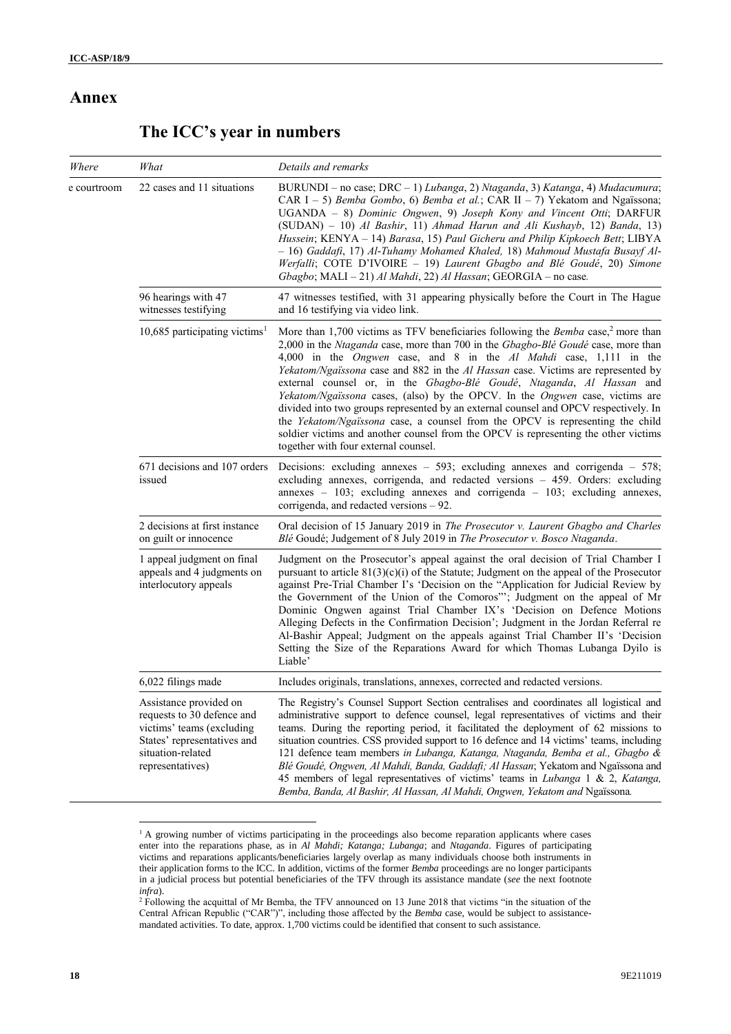# **Annex**

# **The ICC's year in numbers**

| Where       | What                                                                                                                                                      | Details and remarks                                                                                                                                                                                                                                                                                                                                                                                                                                                                                                                                                                                                                                                                                                                                                                                                         |
|-------------|-----------------------------------------------------------------------------------------------------------------------------------------------------------|-----------------------------------------------------------------------------------------------------------------------------------------------------------------------------------------------------------------------------------------------------------------------------------------------------------------------------------------------------------------------------------------------------------------------------------------------------------------------------------------------------------------------------------------------------------------------------------------------------------------------------------------------------------------------------------------------------------------------------------------------------------------------------------------------------------------------------|
| e courtroom | 22 cases and 11 situations                                                                                                                                | BURUNDI - no case; DRC - 1) Lubanga, 2) Ntaganda, 3) Katanga, 4) Mudacumura;<br>CAR I - 5) Bemba Gombo, 6) Bemba et al.; CAR II - 7) Yekatom and Ngaïssona;<br>UGANDA - 8) Dominic Ongwen, 9) Joseph Kony and Vincent Otti; DARFUR<br>(SUDAN) - 10) Al Bashir, 11) Ahmad Harun and Ali Kushayb, 12) Banda, 13)<br>Hussein; KENYA - 14) Barasa, 15) Paul Gicheru and Philip Kipkoech Bett; LIBYA<br>- 16) Gaddafi, 17) Al-Tuhamy Mohamed Khaled, 18) Mahmoud Mustafa Busayf Al-<br>Werfalli; COTE D'IVOIRE - 19) Laurent Gbagbo and Blé Goudé, 20) Simone<br>Gbagbo; MALI - 21) Al Mahdi, 22) Al Hassan; GEORGIA - no case.                                                                                                                                                                                                  |
|             | 96 hearings with 47<br>witnesses testifying                                                                                                               | 47 witnesses testified, with 31 appearing physically before the Court in The Hague<br>and 16 testifying via video link.                                                                                                                                                                                                                                                                                                                                                                                                                                                                                                                                                                                                                                                                                                     |
|             | 10,685 participating victims <sup>1</sup>                                                                                                                 | More than 1,700 victims as TFV beneficiaries following the <i>Bemba</i> case, <sup>2</sup> more than<br>2,000 in the Ntaganda case, more than 700 in the Gbagbo-Blé Goudé case, more than<br>4,000 in the <i>Ongwen</i> case, and 8 in the Al Mahdi case, 1,111 in the<br>Yekatom/Ngaïssona case and 882 in the Al Hassan case. Victims are represented by<br>external counsel or, in the Gbagbo-Blé Goudé, Ntaganda, Al Hassan and<br>Yekatom/Ngaïssona cases, (also) by the OPCV. In the Ongwen case, victims are<br>divided into two groups represented by an external counsel and OPCV respectively. In<br>the Yekatom/Ngaïssona case, a counsel from the OPCV is representing the child<br>soldier victims and another counsel from the OPCV is representing the other victims<br>together with four external counsel. |
|             | 671 decisions and 107 orders<br>issued                                                                                                                    | Decisions: excluding annexes $-$ 593; excluding annexes and corrigenda $-$ 578;<br>excluding annexes, corrigenda, and redacted versions - 459. Orders: excluding<br>annexes - 103; excluding annexes and corrigenda - 103; excluding annexes,<br>corrigenda, and redacted versions – 92.                                                                                                                                                                                                                                                                                                                                                                                                                                                                                                                                    |
|             | 2 decisions at first instance<br>on guilt or innocence                                                                                                    | Oral decision of 15 January 2019 in The Prosecutor v. Laurent Gbagbo and Charles<br>Blé Goudé; Judgement of 8 July 2019 in The Prosecutor v. Bosco Ntaganda.                                                                                                                                                                                                                                                                                                                                                                                                                                                                                                                                                                                                                                                                |
|             | 1 appeal judgment on final<br>appeals and 4 judgments on<br>interlocutory appeals                                                                         | Judgment on the Prosecutor's appeal against the oral decision of Trial Chamber I<br>pursuant to article $81(3)(c)(i)$ of the Statute; Judgment on the appeal of the Prosecutor<br>against Pre-Trial Chamber I's 'Decision on the "Application for Judicial Review by<br>the Government of the Union of the Comoros"'; Judgment on the appeal of Mr<br>Dominic Ongwen against Trial Chamber IX's 'Decision on Defence Motions<br>Alleging Defects in the Confirmation Decision'; Judgment in the Jordan Referral re<br>Al-Bashir Appeal; Judgment on the appeals against Trial Chamber II's 'Decision<br>Setting the Size of the Reparations Award for which Thomas Lubanga Dyilo is<br>Liable'                                                                                                                              |
|             | 6,022 filings made                                                                                                                                        | Includes originals, translations, annexes, corrected and redacted versions.                                                                                                                                                                                                                                                                                                                                                                                                                                                                                                                                                                                                                                                                                                                                                 |
|             | Assistance provided on<br>requests to 30 defence and<br>victims' teams (excluding<br>States' representatives and<br>situation-related<br>representatives) | The Registry's Counsel Support Section centralises and coordinates all logistical and<br>administrative support to defence counsel, legal representatives of victims and their<br>teams. During the reporting period, it facilitated the deployment of 62 missions to<br>situation countries. CSS provided support to 16 defence and 14 victims' teams, including<br>121 defence team members in Lubanga, Katanga, Ntaganda, Bemba et al., Gbagbo &<br>Blé Goudé, Ongwen, Al Mahdi, Banda, Gaddafi; Al Hassan; Yekatom and Ngaïssona and<br>45 members of legal representatives of victims' teams in Lubanga 1 & 2, Katanga,<br>Bemba, Banda, Al Bashir, Al Hassan, Al Mahdi, Ongwen, Yekatom and Ngaïssona.                                                                                                                |

<sup>&</sup>lt;sup>1</sup> A growing number of victims participating in the proceedings also become reparation applicants where cases enter into the reparations phase, as in *Al Mahdi; Katanga; Lubanga*; and *Ntaganda*. Figures of participating victims and reparations applicants/beneficiaries largely overlap as many individuals choose both instruments in their application forms to the ICC. In addition, victims of the former *Bemba* proceedings are no longer participants in a judicial process but potential beneficiaries of the TFV through its assistance mandate (*see* the next footnote *infra*).

 $\overline{\phantom{a}}$ 

<sup>&</sup>lt;sup>2</sup> Following the acquittal of Mr Bemba, the TFV announced on 13 June 2018 that victims "in the situation of the Central African Republic ("CAR")", including those affected by the *Bemba* case, would be subject to assistancemandated activities. To date, approx. 1,700 victims could be identified that consent to such assistance.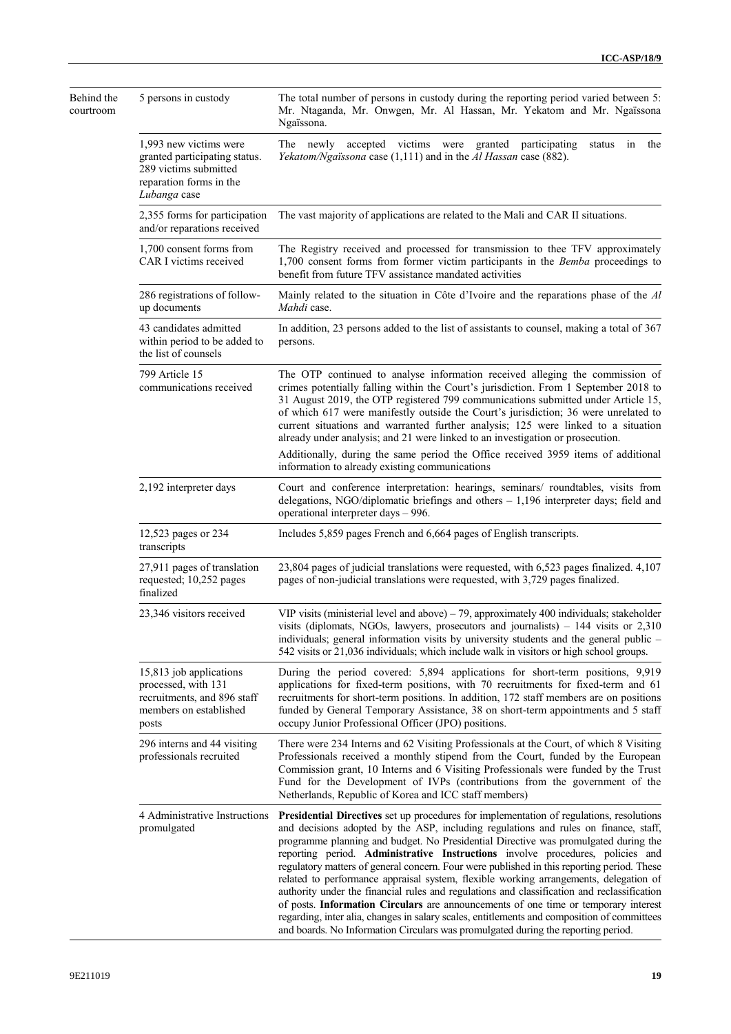| Behind the<br>courtroom | 5 persons in custody                                                                                                        | The total number of persons in custody during the reporting period varied between 5:<br>Mr. Ntaganda, Mr. Onwgen, Mr. Al Hassan, Mr. Yekatom and Mr. Ngaïssona<br>Ngaïssona.                                                                                                                                                                                                                                                                                                                                                                                                                                                                                                                                                                                                                                                                                                                                               |
|-------------------------|-----------------------------------------------------------------------------------------------------------------------------|----------------------------------------------------------------------------------------------------------------------------------------------------------------------------------------------------------------------------------------------------------------------------------------------------------------------------------------------------------------------------------------------------------------------------------------------------------------------------------------------------------------------------------------------------------------------------------------------------------------------------------------------------------------------------------------------------------------------------------------------------------------------------------------------------------------------------------------------------------------------------------------------------------------------------|
|                         | 1,993 new victims were<br>granted participating status.<br>289 victims submitted<br>reparation forms in the<br>Lubanga case | The newly accepted victims were granted participating<br>the<br>status in<br>Yekatom/Ngaïssona case (1,111) and in the Al Hassan case (882).                                                                                                                                                                                                                                                                                                                                                                                                                                                                                                                                                                                                                                                                                                                                                                               |
|                         | 2,355 forms for participation<br>and/or reparations received                                                                | The vast majority of applications are related to the Mali and CAR II situations.                                                                                                                                                                                                                                                                                                                                                                                                                                                                                                                                                                                                                                                                                                                                                                                                                                           |
|                         | 1,700 consent forms from<br>CAR I victims received                                                                          | The Registry received and processed for transmission to thee TFV approximately<br>1,700 consent forms from former victim participants in the Bemba proceedings to<br>benefit from future TFV assistance mandated activities                                                                                                                                                                                                                                                                                                                                                                                                                                                                                                                                                                                                                                                                                                |
|                         | 286 registrations of follow-<br>up documents                                                                                | Mainly related to the situation in Côte d'Ivoire and the reparations phase of the Al<br><i>Mahdi</i> case.                                                                                                                                                                                                                                                                                                                                                                                                                                                                                                                                                                                                                                                                                                                                                                                                                 |
|                         | 43 candidates admitted<br>within period to be added to<br>the list of counsels                                              | In addition, 23 persons added to the list of assistants to counsel, making a total of 367<br>persons.                                                                                                                                                                                                                                                                                                                                                                                                                                                                                                                                                                                                                                                                                                                                                                                                                      |
|                         | 799 Article 15<br>communications received                                                                                   | The OTP continued to analyse information received alleging the commission of<br>crimes potentially falling within the Court's jurisdiction. From 1 September 2018 to<br>31 August 2019, the OTP registered 799 communications submitted under Article 15,<br>of which 617 were manifestly outside the Court's jurisdiction; 36 were unrelated to<br>current situations and warranted further analysis; 125 were linked to a situation<br>already under analysis; and 21 were linked to an investigation or prosecution.                                                                                                                                                                                                                                                                                                                                                                                                    |
|                         |                                                                                                                             | Additionally, during the same period the Office received 3959 items of additional<br>information to already existing communications                                                                                                                                                                                                                                                                                                                                                                                                                                                                                                                                                                                                                                                                                                                                                                                        |
|                         | 2,192 interpreter days                                                                                                      | Court and conference interpretation: hearings, seminars/ roundtables, visits from<br>delegations, NGO/diplomatic briefings and others $-1,196$ interpreter days; field and<br>operational interpreter days - 996.                                                                                                                                                                                                                                                                                                                                                                                                                                                                                                                                                                                                                                                                                                          |
|                         | 12,523 pages or 234<br>transcripts                                                                                          | Includes 5,859 pages French and 6,664 pages of English transcripts.                                                                                                                                                                                                                                                                                                                                                                                                                                                                                                                                                                                                                                                                                                                                                                                                                                                        |
|                         | 27,911 pages of translation<br>requested; 10,252 pages<br>finalized                                                         | 23,804 pages of judicial translations were requested, with 6,523 pages finalized. 4,107<br>pages of non-judicial translations were requested, with 3,729 pages finalized.                                                                                                                                                                                                                                                                                                                                                                                                                                                                                                                                                                                                                                                                                                                                                  |
|                         | 23,346 visitors received                                                                                                    | VIP visits (ministerial level and above) $-79$ , approximately 400 individuals; stakeholder<br>visits (diplomats, NGOs, lawyers, prosecutors and journalists) $-144$ visits or 2,310<br>individuals; general information visits by university students and the general public -<br>542 visits or 21,036 individuals; which include walk in visitors or high school groups.                                                                                                                                                                                                                                                                                                                                                                                                                                                                                                                                                 |
|                         | 15,813 job applications<br>processed, with 131<br>recruitments, and 896 staff<br>members on established<br>posts            | During the period covered: 5,894 applications for short-term positions, 9,919<br>applications for fixed-term positions, with 70 recruitments for fixed-term and 61<br>recruitments for short-term positions. In addition, 172 staff members are on positions<br>funded by General Temporary Assistance, 38 on short-term appointments and 5 staff<br>occupy Junior Professional Officer (JPO) positions.                                                                                                                                                                                                                                                                                                                                                                                                                                                                                                                   |
|                         | 296 interns and 44 visiting<br>professionals recruited                                                                      | There were 234 Interns and 62 Visiting Professionals at the Court, of which 8 Visiting<br>Professionals received a monthly stipend from the Court, funded by the European<br>Commission grant, 10 Interns and 6 Visiting Professionals were funded by the Trust<br>Fund for the Development of IVPs (contributions from the government of the<br>Netherlands, Republic of Korea and ICC staff members)                                                                                                                                                                                                                                                                                                                                                                                                                                                                                                                     |
|                         | 4 Administrative Instructions<br>promulgated                                                                                | Presidential Directives set up procedures for implementation of regulations, resolutions<br>and decisions adopted by the ASP, including regulations and rules on finance, staff,<br>programme planning and budget. No Presidential Directive was promulgated during the<br>reporting period. Administrative Instructions involve procedures, policies and<br>regulatory matters of general concern. Four were published in this reporting period. These<br>related to performance appraisal system, flexible working arrangements, delegation of<br>authority under the financial rules and regulations and classification and reclassification<br>of posts. Information Circulars are announcements of one time or temporary interest<br>regarding, inter alia, changes in salary scales, entitlements and composition of committees<br>and boards. No Information Circulars was promulgated during the reporting period. |